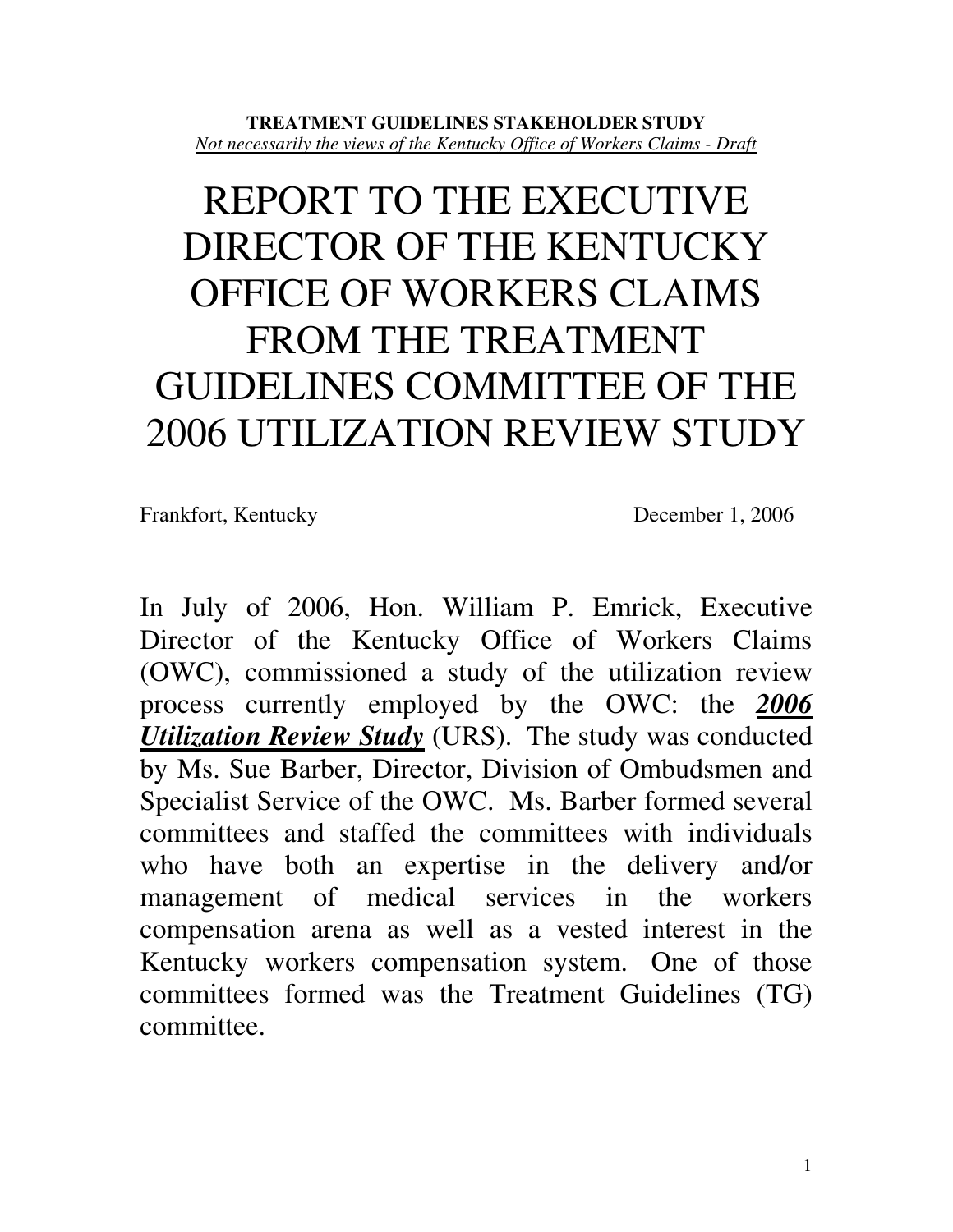#### **TREATMENT GUIDELINES STAKEHOLDER STUDY** *Not necessarily the views of the Kentucky Office of Workers Claims - Draft*

# REPORT TO THE EXECUTIVE DIRECTOR OF THE KENTUCKY OFFICE OF WORKERS CLAIMS FROM THE TREATMENT GUIDELINES COMMITTEE OF THE 2006 UTILIZATION REVIEW STUDY

Frankfort, Kentucky December 1, 2006

In July of 2006, Hon. William P. Emrick, Executive Director of the Kentucky Office of Workers Claims (OWC), commissioned a study of the utilization review process currently employed by the OWC: the *2006 Utilization Review Study* (URS). The study was conducted by Ms. Sue Barber, Director, Division of Ombudsmen and Specialist Service of the OWC. Ms. Barber formed several committees and staffed the committees with individuals who have both an expertise in the delivery and/or management of medical services in the workers compensation arena as well as a vested interest in the Kentucky workers compensation system. One of those committees formed was the Treatment Guidelines (TG) committee.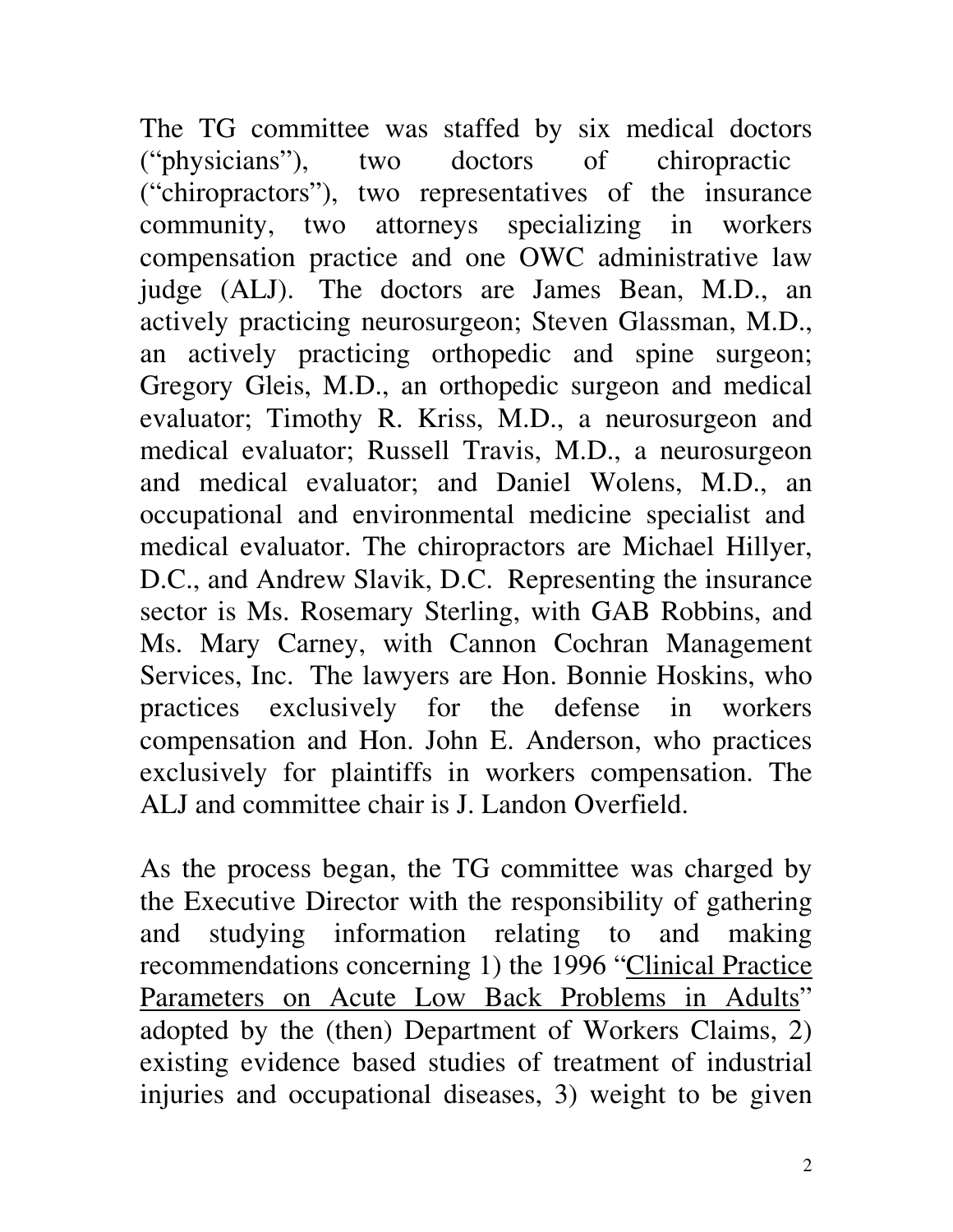The TG committee was staffed by six medical doctors ("physicians"), two doctors of chiropractic ("chiropractors"), two representatives of the insurance community, two attorneys specializing in workers compensation practice and one OWC administrative law judge (ALJ). The doctors are James Bean, M.D., an actively practicing neurosurgeon; Steven Glassman, M.D., an actively practicing orthopedic and spine surgeon; Gregory Gleis, M.D., an orthopedic surgeon and medical evaluator; Timothy R. Kriss, M.D., a neurosurgeon and medical evaluator; Russell Travis, M.D., a neurosurgeon and medical evaluator; and Daniel Wolens, M.D., an occupational and environmental medicine specialist and medical evaluator. The chiropractors are Michael Hillyer, D.C., and Andrew Slavik, D.C. Representing the insurance sector is Ms. Rosemary Sterling, with GAB Robbins, and Ms. Mary Carney, with Cannon Cochran Management Services, Inc. The lawyers are Hon. Bonnie Hoskins, who practices exclusively for the defense in workers compensation and Hon. John E. Anderson, who practices exclusively for plaintiffs in workers compensation. The ALJ and committee chair is J. Landon Overfield.

As the process began, the TG committee was charged by the Executive Director with the responsibility of gathering and studying information relating to and making recommendations concerning 1) the 1996 "Clinical Practice Parameters on Acute Low Back Problems in Adults" adopted by the (then) Department of Workers Claims, 2) existing evidence based studies of treatment of industrial injuries and occupational diseases, 3) weight to be given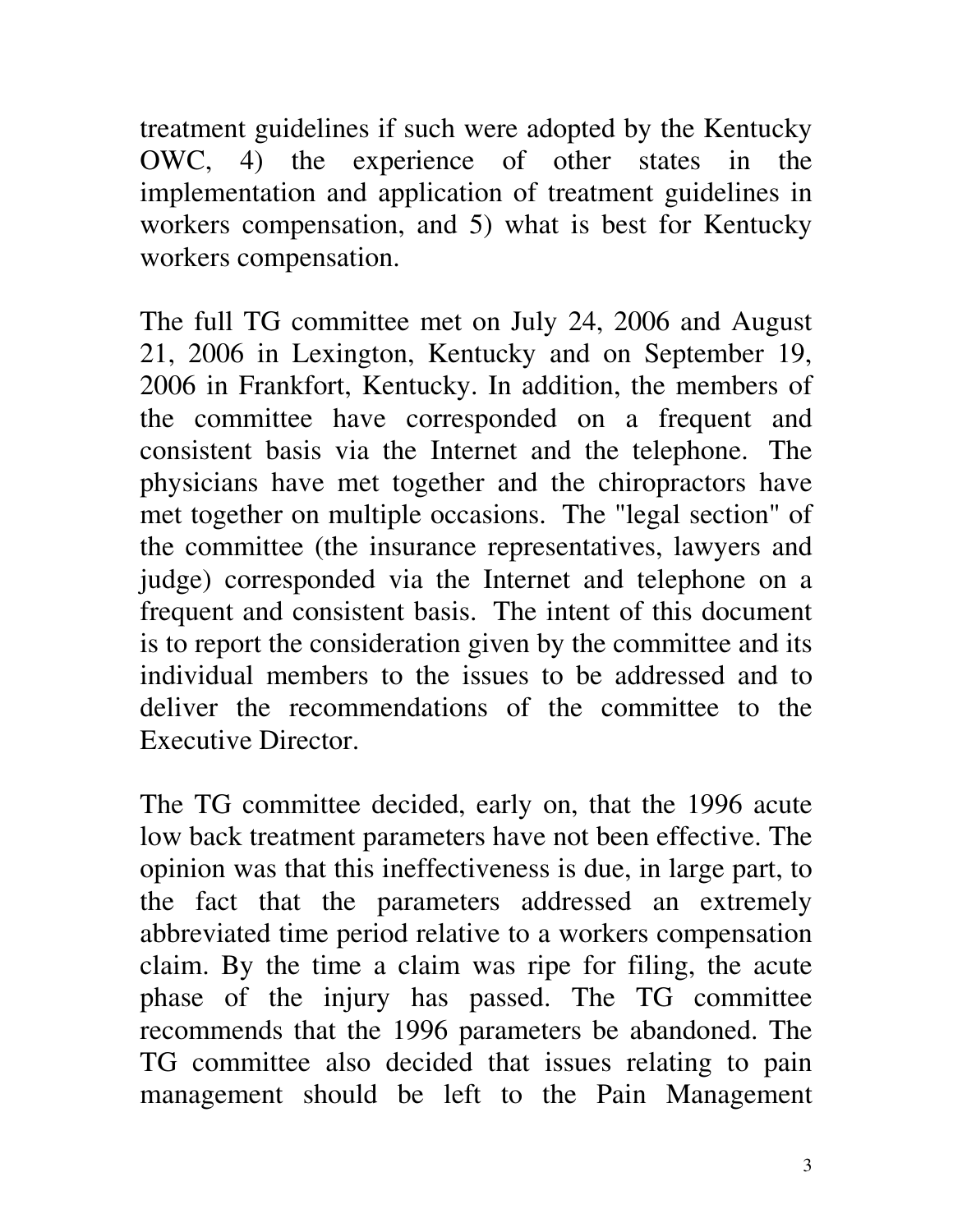treatment guidelines if such were adopted by the Kentucky OWC, 4) the experience of other states in the implementation and application of treatment guidelines in workers compensation, and 5) what is best for Kentucky workers compensation.

The full TG committee met on July 24, 2006 and August 21, 2006 in Lexington, Kentucky and on September 19, 2006 in Frankfort, Kentucky. In addition, the members of the committee have corresponded on a frequent and consistent basis via the Internet and the telephone. The physicians have met together and the chiropractors have met together on multiple occasions. The "legal section" of the committee (the insurance representatives, lawyers and judge) corresponded via the Internet and telephone on a frequent and consistent basis. The intent of this document is to report the consideration given by the committee and its individual members to the issues to be addressed and to deliver the recommendations of the committee to the Executive Director.

The TG committee decided, early on, that the 1996 acute low back treatment parameters have not been effective. The opinion was that this ineffectiveness is due, in large part, to the fact that the parameters addressed an extremely abbreviated time period relative to a workers compensation claim. By the time a claim was ripe for filing, the acute phase of the injury has passed. The TG committee recommends that the 1996 parameters be abandoned. The TG committee also decided that issues relating to pain management should be left to the Pain Management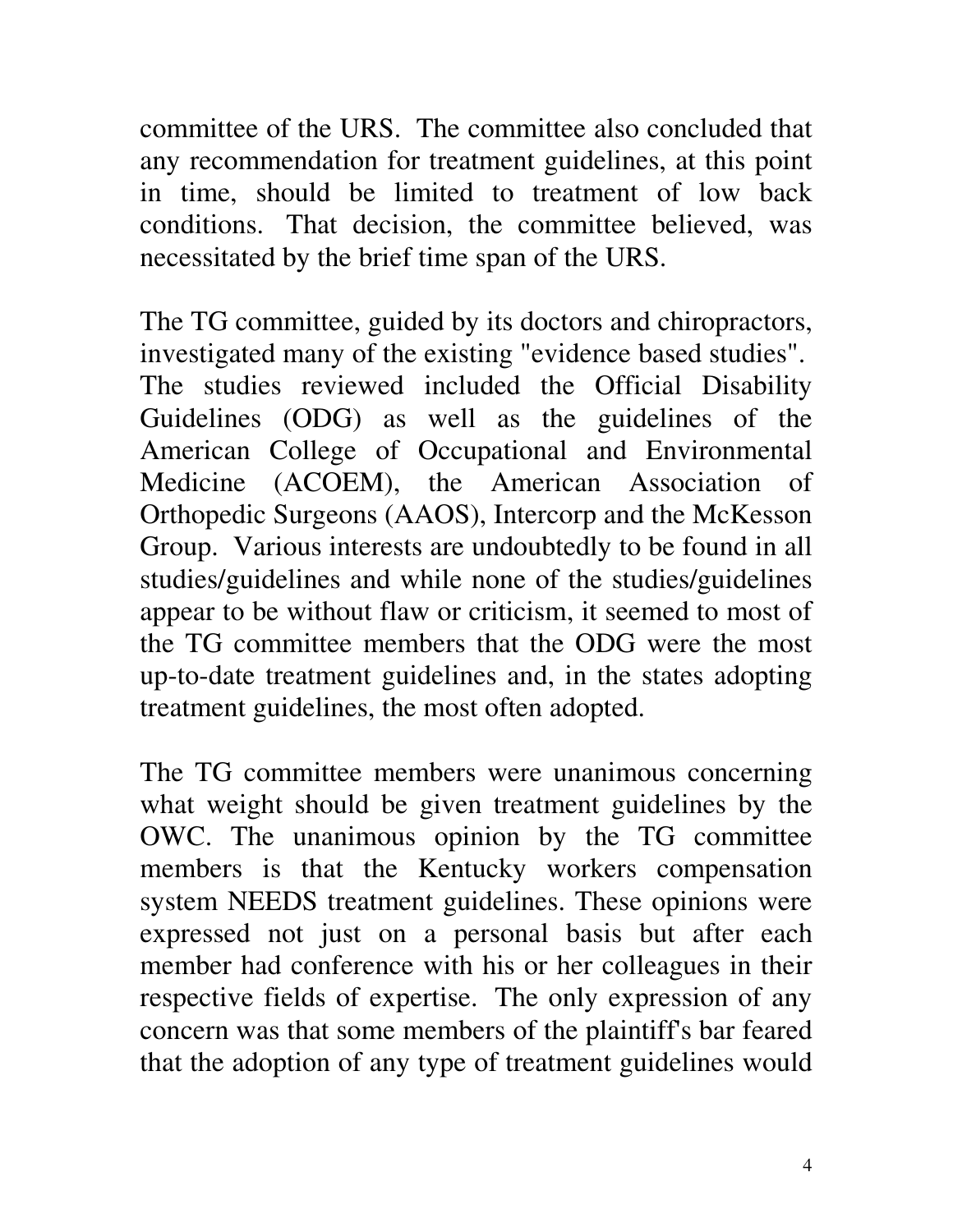committee of the URS. The committee also concluded that any recommendation for treatment guidelines, at this point in time, should be limited to treatment of low back conditions. That decision, the committee believed, was necessitated by the brief time span of the URS.

The TG committee, guided by its doctors and chiropractors, investigated many of the existing "evidence based studies". The studies reviewed included the Official Disability Guidelines (ODG) as well as the guidelines of the American College of Occupational and Environmental Medicine (ACOEM), the American Association of Orthopedic Surgeons (AAOS), Intercorp and the McKesson Group. Various interests are undoubtedly to be found in all studies/guidelines and while none of the studies/guidelines appear to be without flaw or criticism, it seemed to most of the TG committee members that the ODG were the most up-to-date treatment guidelines and, in the states adopting treatment guidelines, the most often adopted.

The TG committee members were unanimous concerning what weight should be given treatment guidelines by the OWC. The unanimous opinion by the TG committee members is that the Kentucky workers compensation system NEEDS treatment guidelines. These opinions were expressed not just on a personal basis but after each member had conference with his or her colleagues in their respective fields of expertise. The only expression of any concern was that some members of the plaintiff's bar feared that the adoption of any type of treatment guidelines would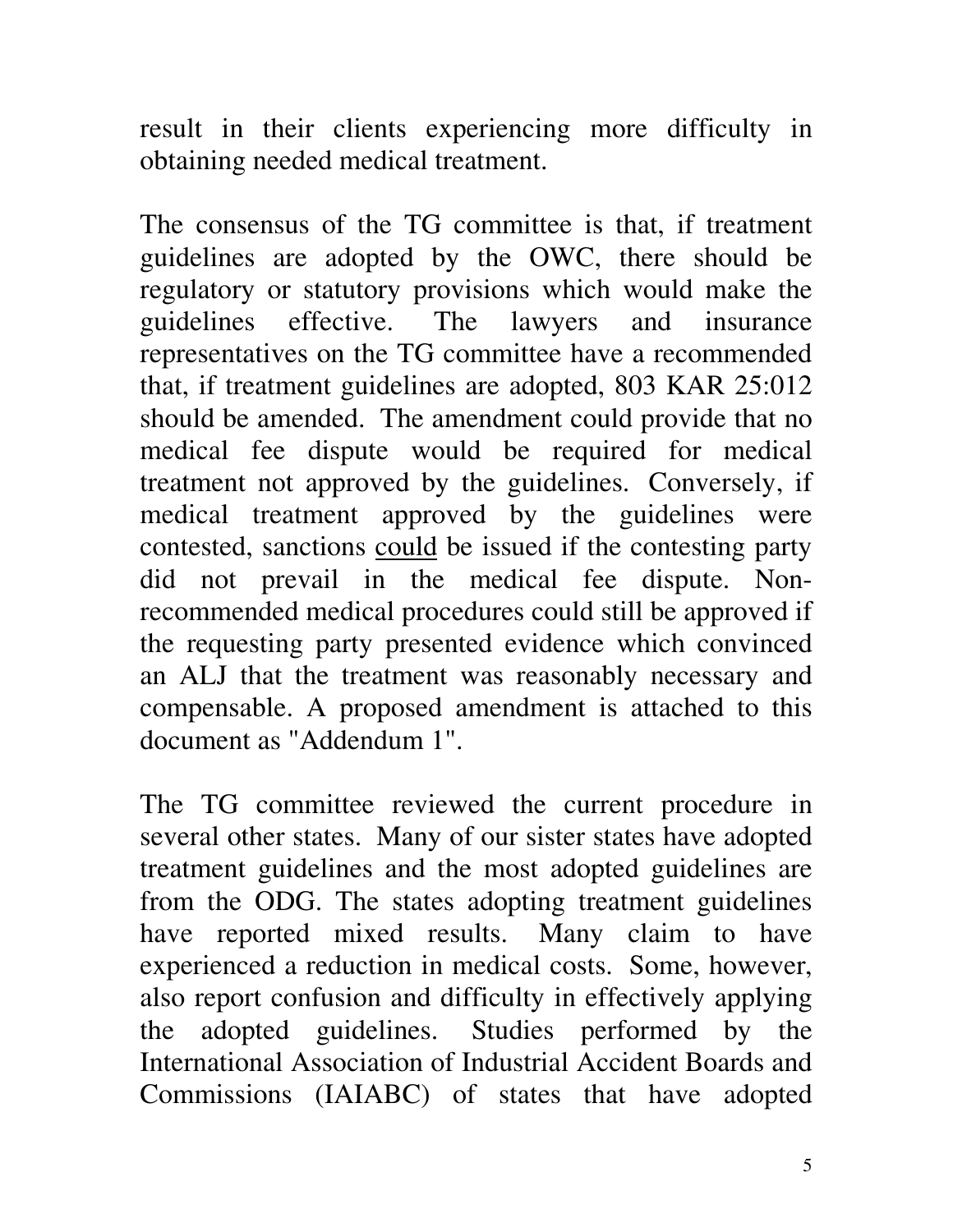result in their clients experiencing more difficulty in obtaining needed medical treatment.

The consensus of the TG committee is that, if treatment guidelines are adopted by the OWC, there should be regulatory or statutory provisions which would make the guidelines effective. The lawyers and insurance representatives on the TG committee have a recommended that, if treatment guidelines are adopted, 803 KAR 25:012 should be amended. The amendment could provide that no medical fee dispute would be required for medical treatment not approved by the guidelines. Conversely, if medical treatment approved by the guidelines were contested, sanctions could be issued if the contesting party did not prevail in the medical fee dispute. Nonrecommended medical procedures could still be approved if the requesting party presented evidence which convinced an ALJ that the treatment was reasonably necessary and compensable. A proposed amendment is attached to this document as "Addendum 1".

The TG committee reviewed the current procedure in several other states. Many of our sister states have adopted treatment guidelines and the most adopted guidelines are from the ODG. The states adopting treatment guidelines have reported mixed results. Many claim to have experienced a reduction in medical costs. Some, however, also report confusion and difficulty in effectively applying the adopted guidelines. Studies performed by the International Association of Industrial Accident Boards and Commissions (IAIABC) of states that have adopted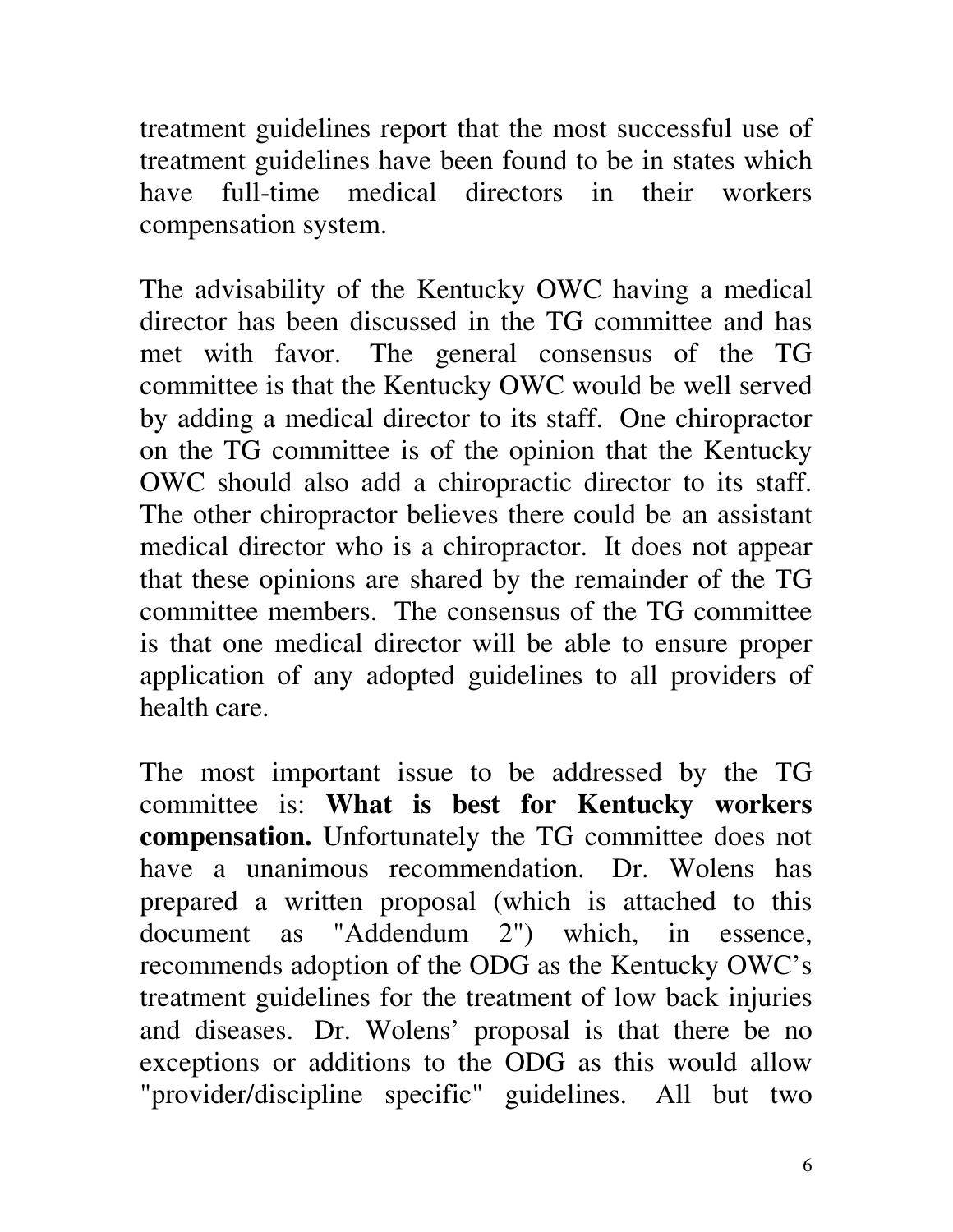treatment guidelines report that the most successful use of treatment guidelines have been found to be in states which have full-time medical directors in their workers compensation system.

The advisability of the Kentucky OWC having a medical director has been discussed in the TG committee and has met with favor. The general consensus of the TG committee is that the Kentucky OWC would be well served by adding a medical director to its staff. One chiropractor on the TG committee is of the opinion that the Kentucky OWC should also add a chiropractic director to its staff. The other chiropractor believes there could be an assistant medical director who is a chiropractor. It does not appear that these opinions are shared by the remainder of the TG committee members. The consensus of the TG committee is that one medical director will be able to ensure proper application of any adopted guidelines to all providers of health care.

The most important issue to be addressed by the TG committee is: **What is best for Kentucky workers compensation.** Unfortunately the TG committee does not have a unanimous recommendation. Dr. Wolens has prepared a written proposal (which is attached to this document as "Addendum 2") which, in essence, recommends adoption of the ODG as the Kentucky OWC's treatment guidelines for the treatment of low back injuries and diseases. Dr. Wolens' proposal is that there be no exceptions or additions to the ODG as this would allow "provider/discipline specific" guidelines. All but two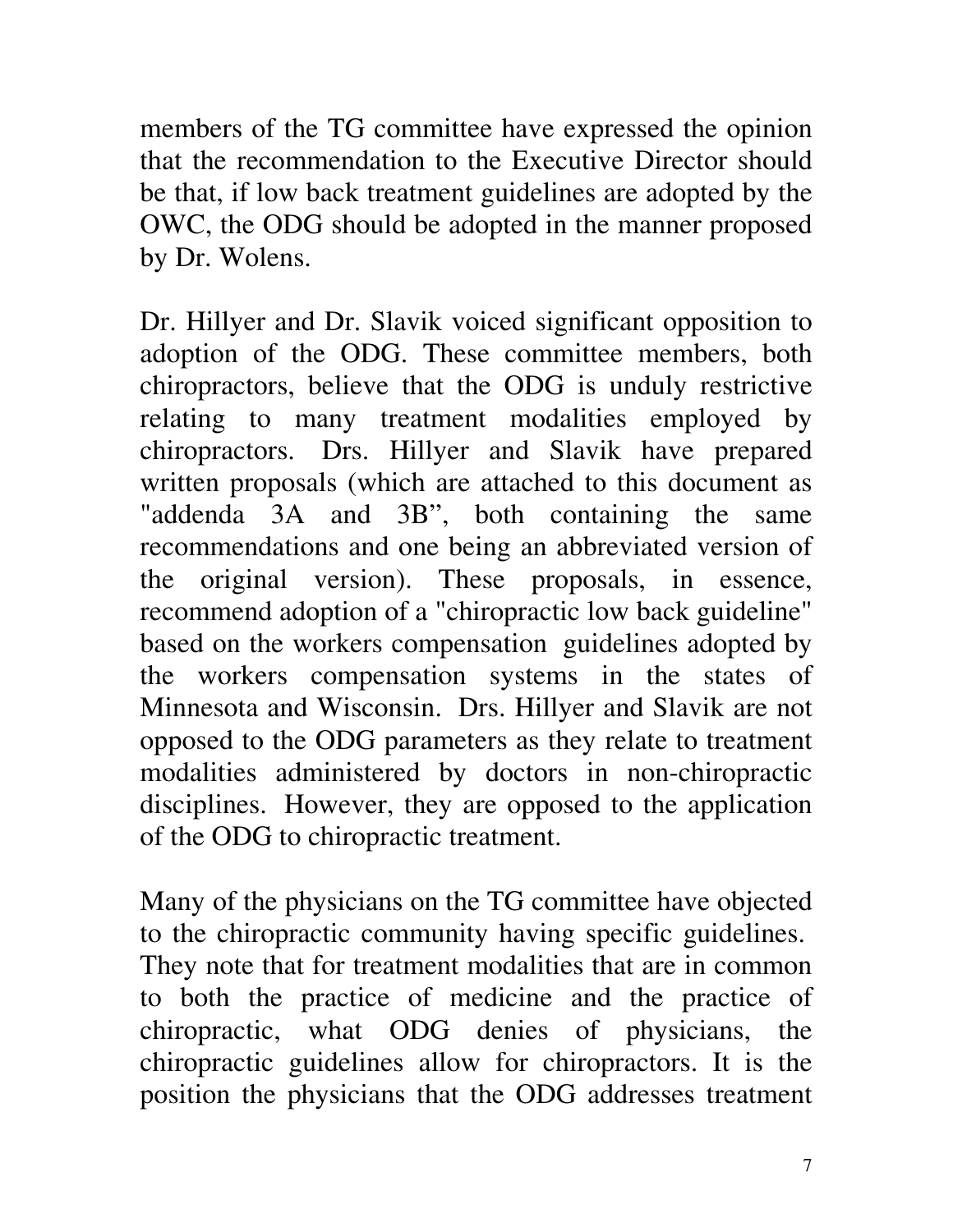members of the TG committee have expressed the opinion that the recommendation to the Executive Director should be that, if low back treatment guidelines are adopted by the OWC, the ODG should be adopted in the manner proposed by Dr. Wolens.

Dr. Hillyer and Dr. Slavik voiced significant opposition to adoption of the ODG. These committee members, both chiropractors, believe that the ODG is unduly restrictive relating to many treatment modalities employed by chiropractors. Drs. Hillyer and Slavik have prepared written proposals (which are attached to this document as "addenda 3A and 3B", both containing the same recommendations and one being an abbreviated version of the original version). These proposals, in essence, recommend adoption of a "chiropractic low back guideline" based on the workers compensation guidelines adopted by the workers compensation systems in the states of Minnesota and Wisconsin. Drs. Hillyer and Slavik are not opposed to the ODG parameters as they relate to treatment modalities administered by doctors in non-chiropractic disciplines. However, they are opposed to the application of the ODG to chiropractic treatment.

Many of the physicians on the TG committee have objected to the chiropractic community having specific guidelines. They note that for treatment modalities that are in common to both the practice of medicine and the practice of chiropractic, what ODG denies of physicians, the chiropractic guidelines allow for chiropractors. It is the position the physicians that the ODG addresses treatment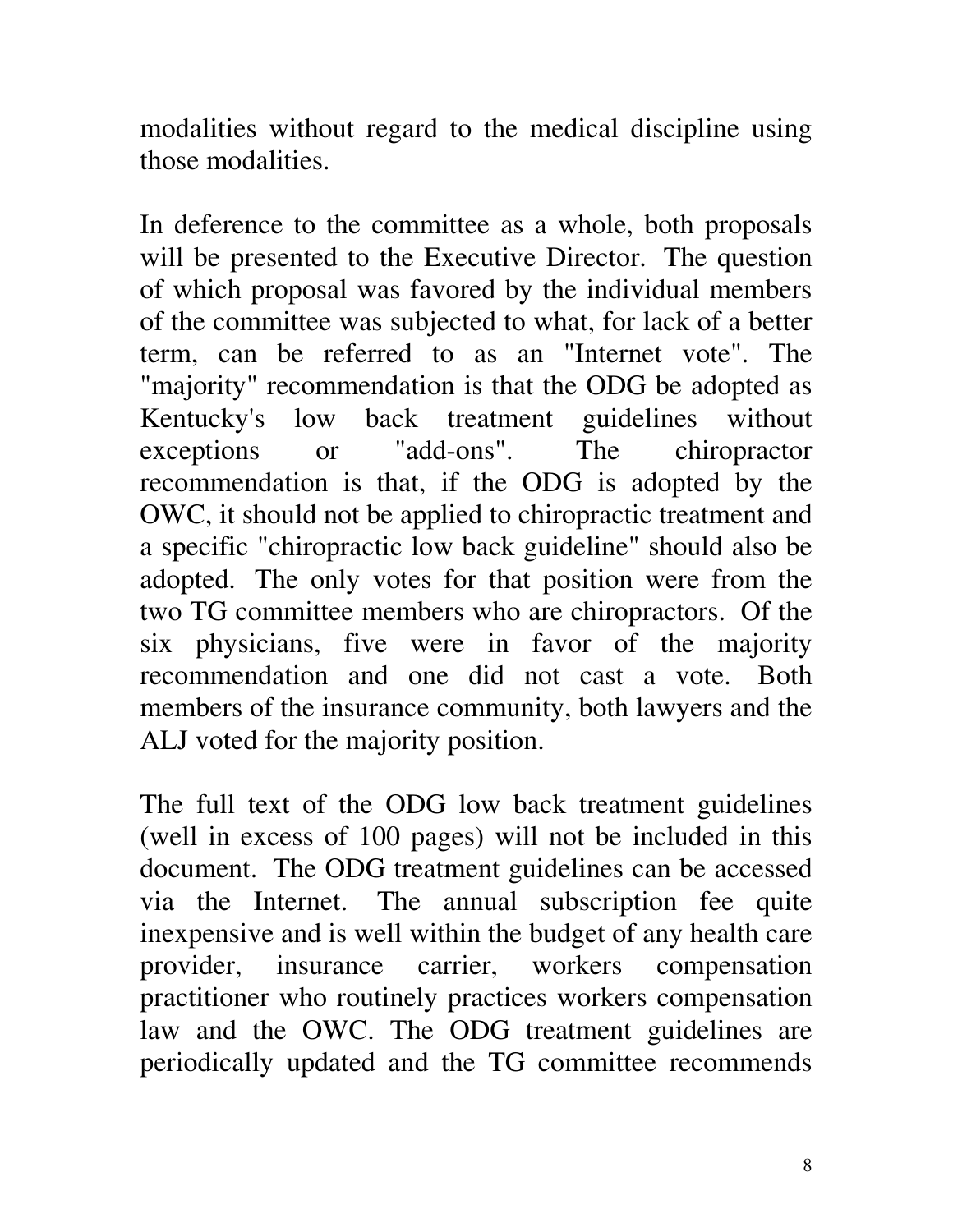modalities without regard to the medical discipline using those modalities.

In deference to the committee as a whole, both proposals will be presented to the Executive Director. The question of which proposal was favored by the individual members of the committee was subjected to what, for lack of a better term, can be referred to as an "Internet vote". The "majority" recommendation is that the ODG be adopted as Kentucky's low back treatment guidelines without exceptions or "add-ons". The chiropractor recommendation is that, if the ODG is adopted by the OWC, it should not be applied to chiropractic treatment and a specific "chiropractic low back guideline" should also be adopted. The only votes for that position were from the two TG committee members who are chiropractors. Of the six physicians, five were in favor of the majority recommendation and one did not cast a vote. Both members of the insurance community, both lawyers and the ALJ voted for the majority position.

The full text of the ODG low back treatment guidelines (well in excess of 100 pages) will not be included in this document. The ODG treatment guidelines can be accessed via the Internet. The annual subscription fee quite inexpensive and is well within the budget of any health care provider, insurance carrier, workers compensation practitioner who routinely practices workers compensation law and the OWC. The ODG treatment guidelines are periodically updated and the TG committee recommends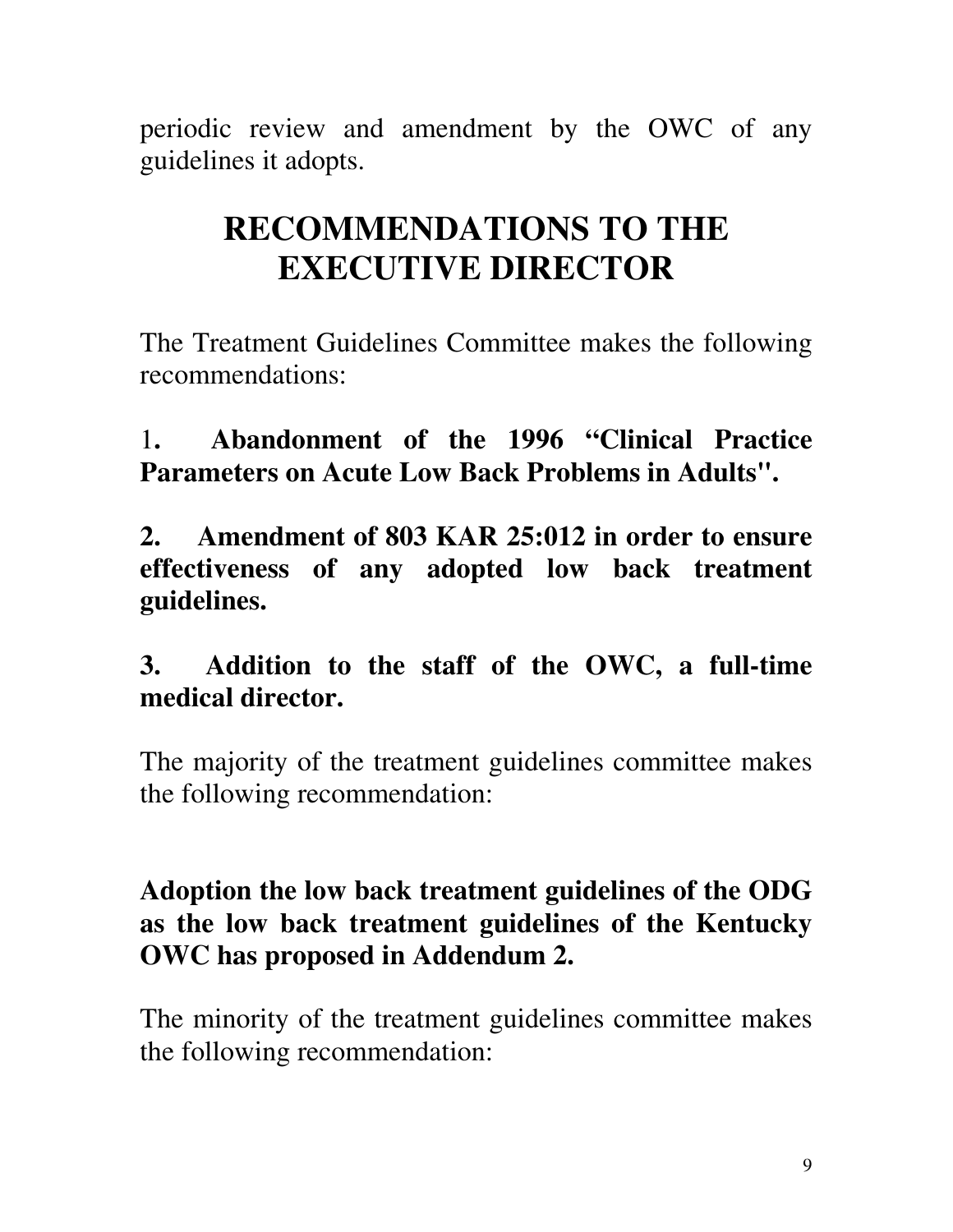periodic review and amendment by the OWC of any guidelines it adopts.

## **RECOMMENDATIONS TO THE EXECUTIVE DIRECTOR**

The Treatment Guidelines Committee makes the following recommendations:

1**. Abandonment of the 1996 "Clinical Practice Parameters on Acute Low Back Problems in Adults".**

**2. Amendment of 803 KAR 25:012 in order to ensure effectiveness of any adopted low back treatment guidelines.**

## **3. Addition to the staff of the OWC, a full-time medical director.**

The majority of the treatment guidelines committee makes the following recommendation:

### **Adoption the low back treatment guidelines of the ODG as the low back treatment guidelines of the Kentucky OWC has proposed in Addendum 2.**

The minority of the treatment guidelines committee makes the following recommendation: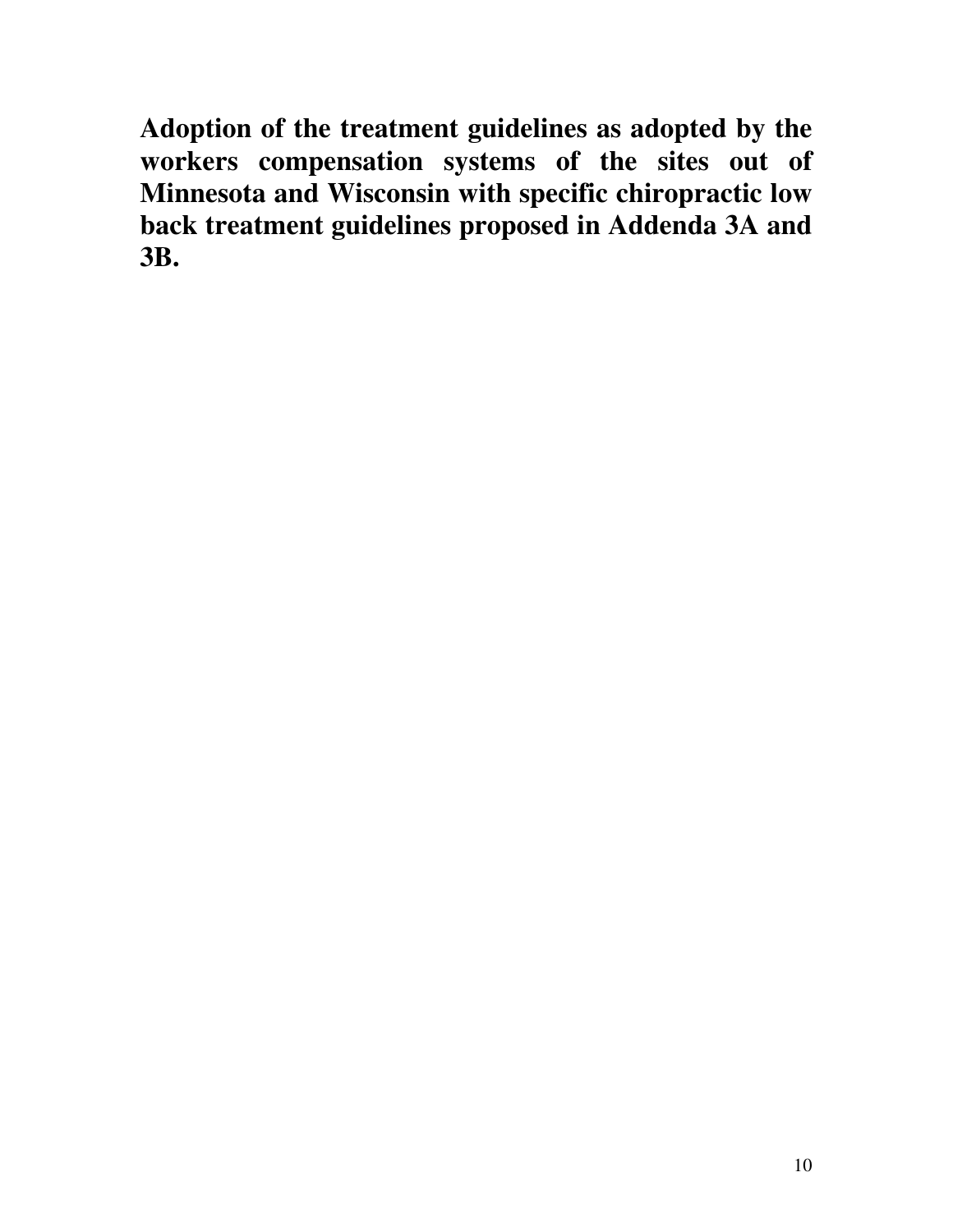**Adoption of the treatment guidelines as adopted by the workers compensation systems of the sites out of Minnesota and Wisconsin with specific chiropractic low back treatment guidelines proposed in Addenda 3A and 3B.**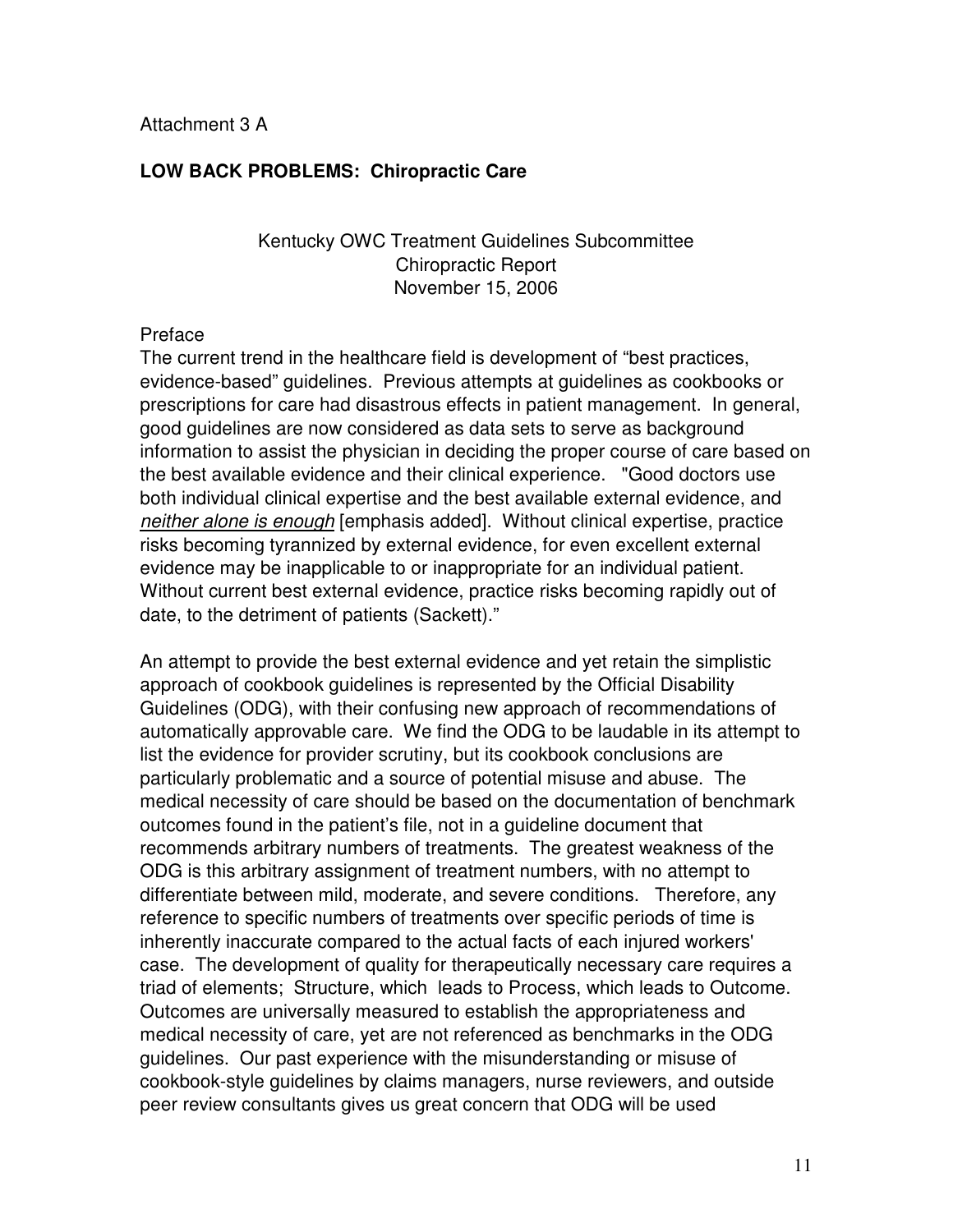#### **LOW BACK PROBLEMS: Chiropractic Care**

#### Kentucky OWC Treatment Guidelines Subcommittee Chiropractic Report November 15, 2006

#### Preface

The current trend in the healthcare field is development of "best practices, evidence-based" guidelines. Previous attempts at guidelines as cookbooks or prescriptions for care had disastrous effects in patient management. In general, good guidelines are now considered as data sets to serve as background information to assist the physician in deciding the proper course of care based on the best available evidence and their clinical experience. "Good doctors use both individual clinical expertise and the best available external evidence, and neither alone is enough [emphasis added]. Without clinical expertise, practice risks becoming tyrannized by external evidence, for even excellent external evidence may be inapplicable to or inappropriate for an individual patient. Without current best external evidence, practice risks becoming rapidly out of date, to the detriment of patients (Sackett)."

An attempt to provide the best external evidence and yet retain the simplistic approach of cookbook guidelines is represented by the Official Disability Guidelines (ODG), with their confusing new approach of recommendations of automatically approvable care. We find the ODG to be laudable in its attempt to list the evidence for provider scrutiny, but its cookbook conclusions are particularly problematic and a source of potential misuse and abuse. The medical necessity of care should be based on the documentation of benchmark outcomes found in the patient's file, not in a guideline document that recommends arbitrary numbers of treatments. The greatest weakness of the ODG is this arbitrary assignment of treatment numbers, with no attempt to differentiate between mild, moderate, and severe conditions. Therefore, any reference to specific numbers of treatments over specific periods of time is inherently inaccurate compared to the actual facts of each injured workers' case. The development of quality for therapeutically necessary care requires a triad of elements; Structure, which leads to Process, which leads to Outcome. Outcomes are universally measured to establish the appropriateness and medical necessity of care, yet are not referenced as benchmarks in the ODG guidelines. Our past experience with the misunderstanding or misuse of cookbook-style guidelines by claims managers, nurse reviewers, and outside peer review consultants gives us great concern that ODG will be used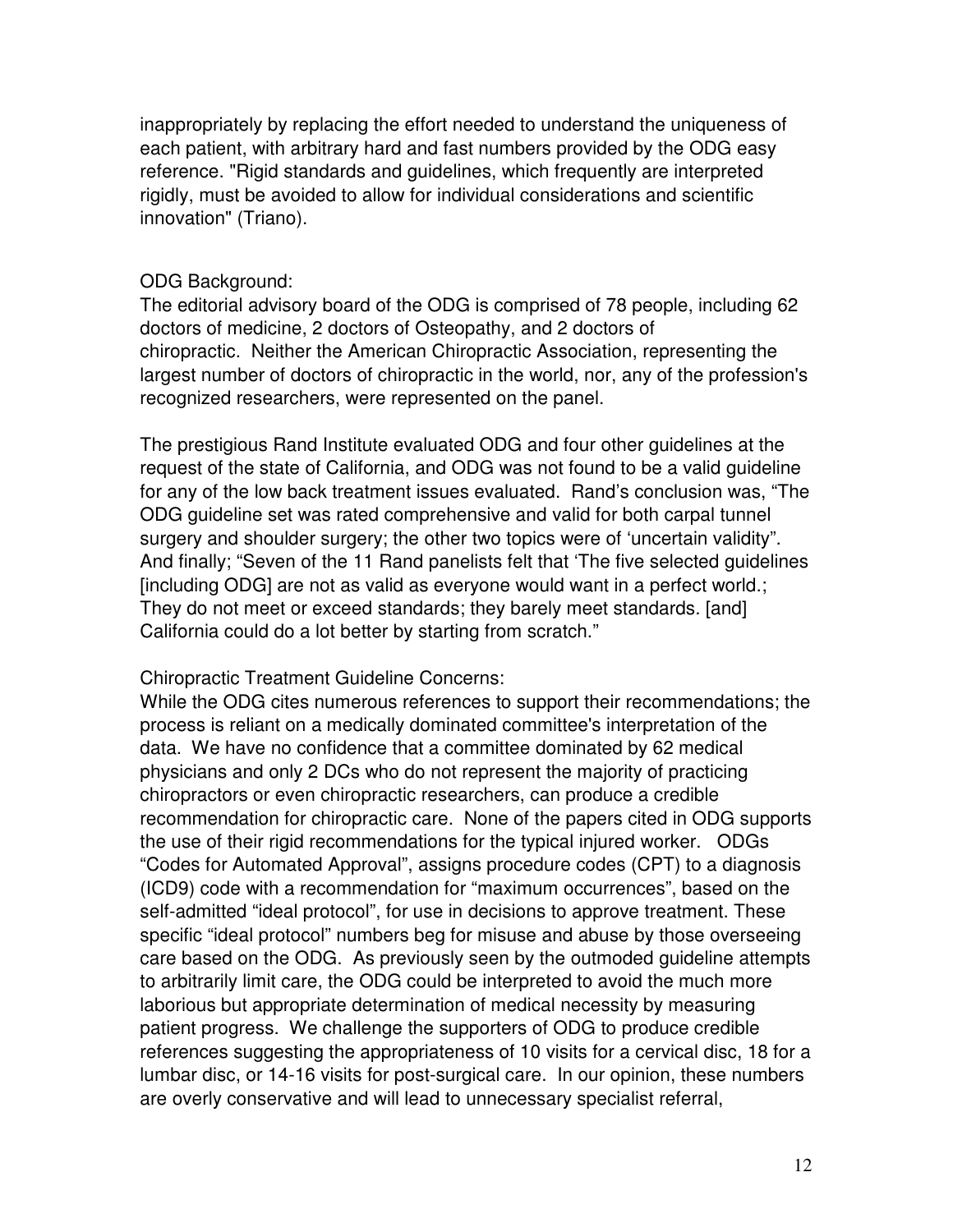inappropriately by replacing the effort needed to understand the uniqueness of each patient, with arbitrary hard and fast numbers provided by the ODG easy reference. "Rigid standards and guidelines, which frequently are interpreted rigidly, must be avoided to allow for individual considerations and scientific innovation" (Triano).

#### ODG Background:

The editorial advisory board of the ODG is comprised of 78 people, including 62 doctors of medicine, 2 doctors of Osteopathy, and 2 doctors of chiropractic. Neither the American Chiropractic Association, representing the largest number of doctors of chiropractic in the world, nor, any of the profession's recognized researchers, were represented on the panel.

The prestigious Rand Institute evaluated ODG and four other guidelines at the request of the state of California, and ODG was not found to be a valid guideline for any of the low back treatment issues evaluated. Rand's conclusion was, "The ODG guideline set was rated comprehensive and valid for both carpal tunnel surgery and shoulder surgery; the other two topics were of 'uncertain validity". And finally; "Seven of the 11 Rand panelists felt that 'The five selected guidelines [including ODG] are not as valid as everyone would want in a perfect world.; They do not meet or exceed standards; they barely meet standards. [and] California could do a lot better by starting from scratch."

#### Chiropractic Treatment Guideline Concerns:

While the ODG cites numerous references to support their recommendations; the process is reliant on a medically dominated committee's interpretation of the data. We have no confidence that a committee dominated by 62 medical physicians and only 2 DCs who do not represent the majority of practicing chiropractors or even chiropractic researchers, can produce a credible recommendation for chiropractic care. None of the papers cited in ODG supports the use of their rigid recommendations for the typical injured worker. ODGs "Codes for Automated Approval", assigns procedure codes (CPT) to a diagnosis (ICD9) code with a recommendation for "maximum occurrences", based on the self-admitted "ideal protocol", for use in decisions to approve treatment. These specific "ideal protocol" numbers beg for misuse and abuse by those overseeing care based on the ODG. As previously seen by the outmoded guideline attempts to arbitrarily limit care, the ODG could be interpreted to avoid the much more laborious but appropriate determination of medical necessity by measuring patient progress. We challenge the supporters of ODG to produce credible references suggesting the appropriateness of 10 visits for a cervical disc, 18 for a lumbar disc, or 14-16 visits for post-surgical care. In our opinion, these numbers are overly conservative and will lead to unnecessary specialist referral,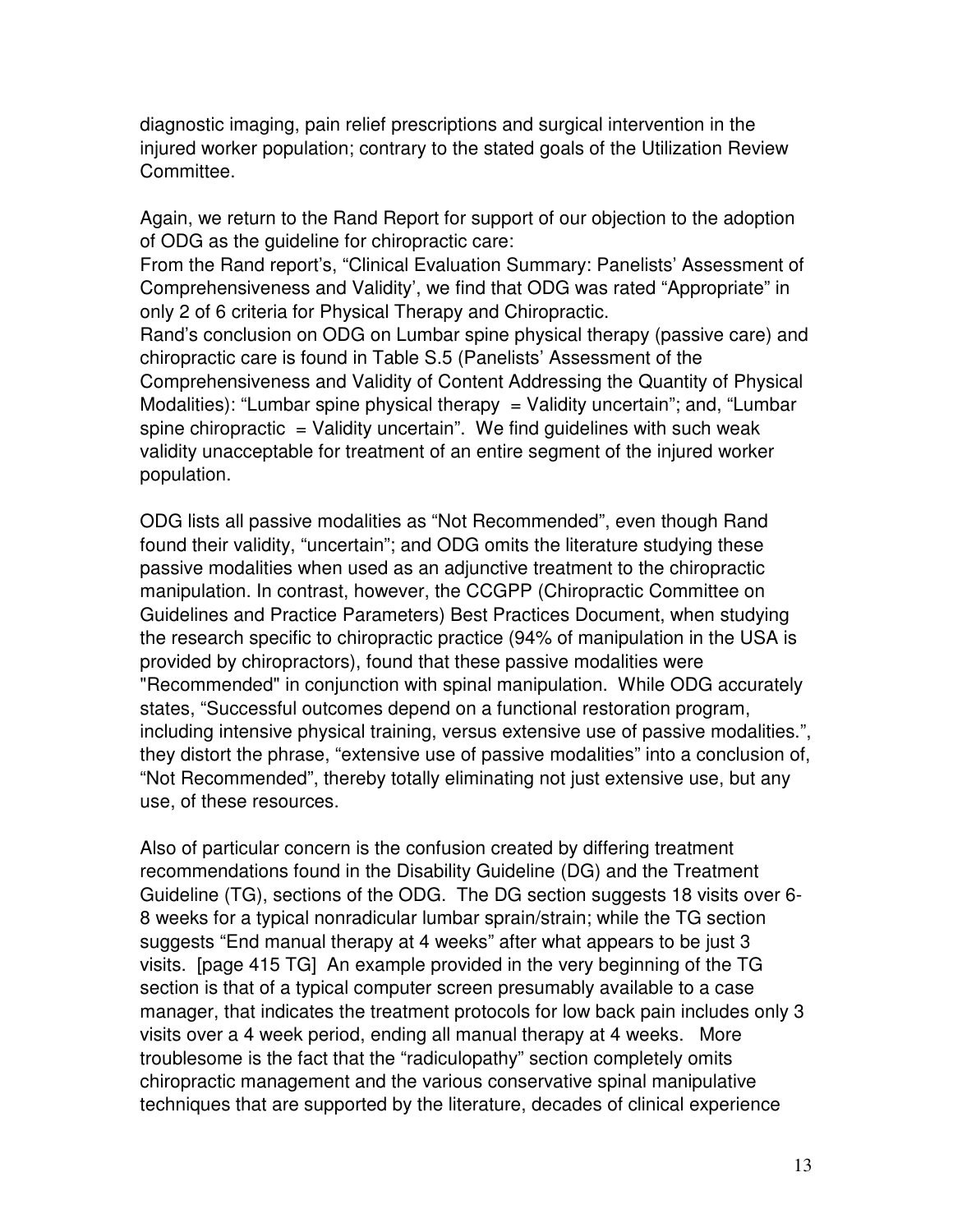diagnostic imaging, pain relief prescriptions and surgical intervention in the injured worker population; contrary to the stated goals of the Utilization Review Committee.

Again, we return to the Rand Report for support of our objection to the adoption of ODG as the guideline for chiropractic care:

From the Rand report's, "Clinical Evaluation Summary: Panelists' Assessment of Comprehensiveness and Validity', we find that ODG was rated "Appropriate" in only 2 of 6 criteria for Physical Therapy and Chiropractic.

Rand's conclusion on ODG on Lumbar spine physical therapy (passive care) and chiropractic care is found in Table S.5 (Panelists' Assessment of the Comprehensiveness and Validity of Content Addressing the Quantity of Physical Modalities): "Lumbar spine physical therapy  $=$  Validity uncertain"; and, "Lumbar spine chiropractic  $=$  Validity uncertain". We find guidelines with such weak validity unacceptable for treatment of an entire segment of the injured worker population.

ODG lists all passive modalities as "Not Recommended", even though Rand found their validity, "uncertain"; and ODG omits the literature studying these passive modalities when used as an adjunctive treatment to the chiropractic manipulation. In contrast, however, the CCGPP (Chiropractic Committee on Guidelines and Practice Parameters) Best Practices Document, when studying the research specific to chiropractic practice (94% of manipulation in the USA is provided by chiropractors), found that these passive modalities were "Recommended" in conjunction with spinal manipulation. While ODG accurately states, "Successful outcomes depend on a functional restoration program, including intensive physical training, versus extensive use of passive modalities.", they distort the phrase, "extensive use of passive modalities" into a conclusion of, "Not Recommended", thereby totally eliminating not just extensive use, but any use, of these resources.

Also of particular concern is the confusion created by differing treatment recommendations found in the Disability Guideline (DG) and the Treatment Guideline (TG), sections of the ODG. The DG section suggests 18 visits over 6- 8 weeks for a typical nonradicular lumbar sprain/strain; while the TG section suggests "End manual therapy at 4 weeks" after what appears to be just 3 visits. [page 415 TG] An example provided in the very beginning of the TG section is that of a typical computer screen presumably available to a case manager, that indicates the treatment protocols for low back pain includes only 3 visits over a 4 week period, ending all manual therapy at 4 weeks. More troublesome is the fact that the "radiculopathy" section completely omits chiropractic management and the various conservative spinal manipulative techniques that are supported by the literature, decades of clinical experience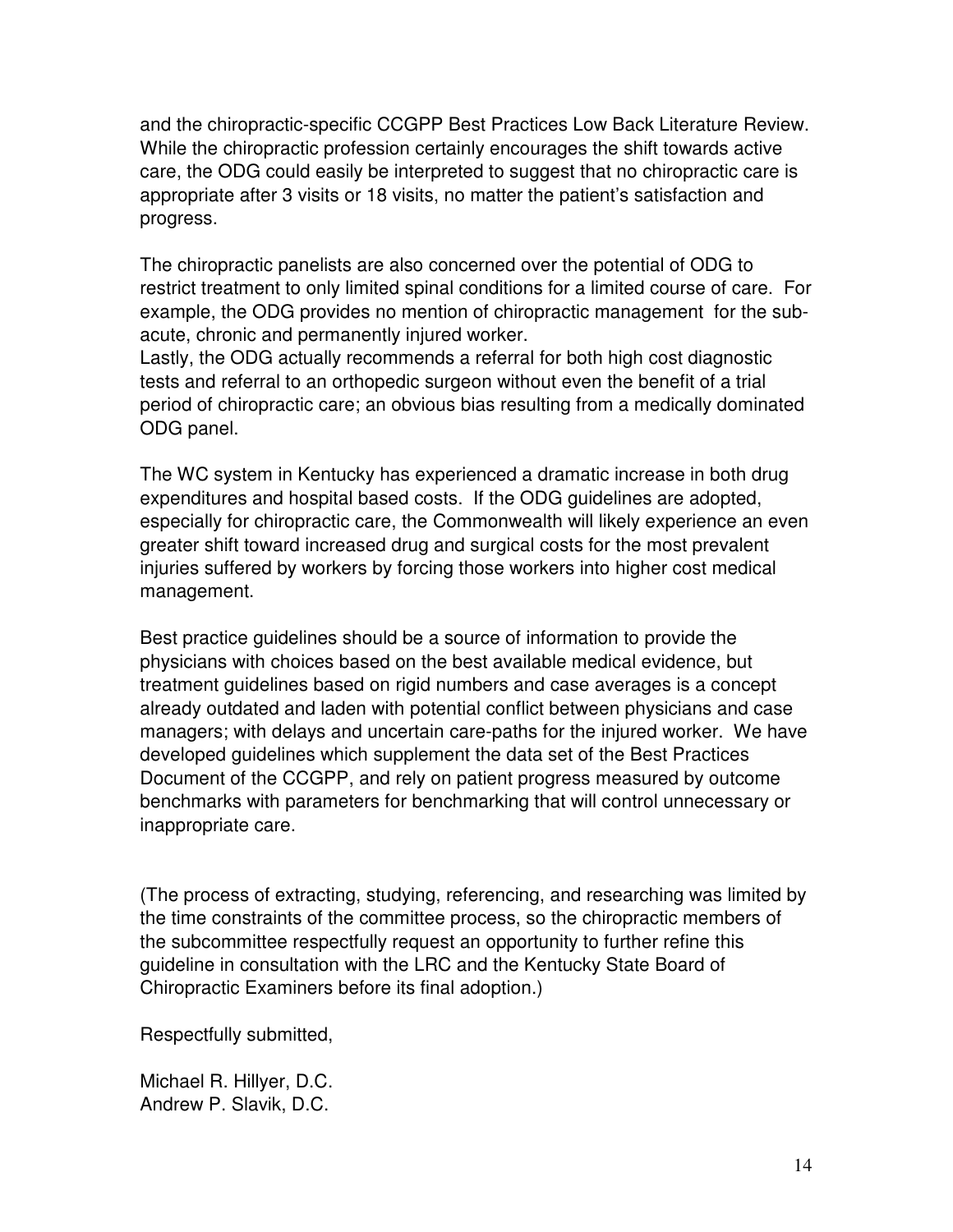and the chiropractic-specific CCGPP Best Practices Low Back Literature Review. While the chiropractic profession certainly encourages the shift towards active care, the ODG could easily be interpreted to suggest that no chiropractic care is appropriate after 3 visits or 18 visits, no matter the patient's satisfaction and progress.

The chiropractic panelists are also concerned over the potential of ODG to restrict treatment to only limited spinal conditions for a limited course of care. For example, the ODG provides no mention of chiropractic management for the subacute, chronic and permanently injured worker.

Lastly, the ODG actually recommends a referral for both high cost diagnostic tests and referral to an orthopedic surgeon without even the benefit of a trial period of chiropractic care; an obvious bias resulting from a medically dominated ODG panel.

The WC system in Kentucky has experienced a dramatic increase in both drug expenditures and hospital based costs. If the ODG guidelines are adopted, especially for chiropractic care, the Commonwealth will likely experience an even greater shift toward increased drug and surgical costs for the most prevalent injuries suffered by workers by forcing those workers into higher cost medical management.

Best practice guidelines should be a source of information to provide the physicians with choices based on the best available medical evidence, but treatment guidelines based on rigid numbers and case averages is a concept already outdated and laden with potential conflict between physicians and case managers; with delays and uncertain care-paths for the injured worker. We have developed guidelines which supplement the data set of the Best Practices Document of the CCGPP, and rely on patient progress measured by outcome benchmarks with parameters for benchmarking that will control unnecessary or inappropriate care.

(The process of extracting, studying, referencing, and researching was limited by the time constraints of the committee process, so the chiropractic members of the subcommittee respectfully request an opportunity to further refine this guideline in consultation with the LRC and the Kentucky State Board of Chiropractic Examiners before its final adoption.)

Respectfully submitted,

Michael R. Hillyer, D.C. Andrew P. Slavik, D.C.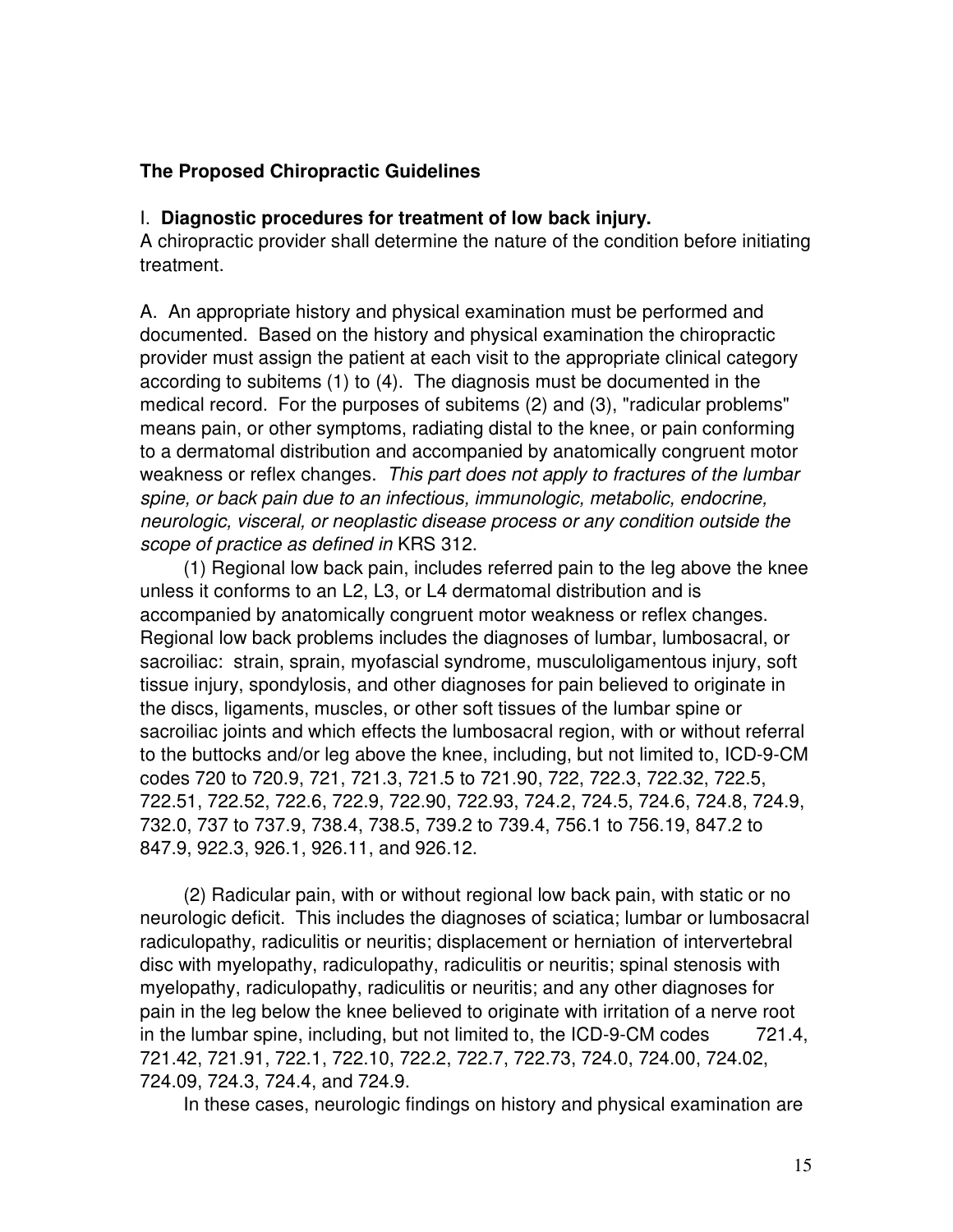#### **The Proposed Chiropractic Guidelines**

#### I. **Diagnostic procedures for treatment of low back injury.**

A chiropractic provider shall determine the nature of the condition before initiating treatment.

A. An appropriate history and physical examination must be performed and documented. Based on the history and physical examination the chiropractic provider must assign the patient at each visit to the appropriate clinical category according to subitems (1) to (4). The diagnosis must be documented in the medical record. For the purposes of subitems (2) and (3), "radicular problems" means pain, or other symptoms, radiating distal to the knee, or pain conforming to a dermatomal distribution and accompanied by anatomically congruent motor weakness or reflex changes. This part does not apply to fractures of the lumbar spine, or back pain due to an infectious, immunologic, metabolic, endocrine, neurologic, visceral, or neoplastic disease process or any condition outside the scope of practice as defined in KRS 312.

 (1) Regional low back pain, includes referred pain to the leg above the knee unless it conforms to an L2, L3, or L4 dermatomal distribution and is accompanied by anatomically congruent motor weakness or reflex changes. Regional low back problems includes the diagnoses of lumbar, lumbosacral, or sacroiliac: strain, sprain, myofascial syndrome, musculoligamentous injury, soft tissue injury, spondylosis, and other diagnoses for pain believed to originate in the discs, ligaments, muscles, or other soft tissues of the lumbar spine or sacroiliac joints and which effects the lumbosacral region, with or without referral to the buttocks and/or leg above the knee, including, but not limited to, ICD-9-CM codes 720 to 720.9, 721, 721.3, 721.5 to 721.90, 722, 722.3, 722.32, 722.5, 722.51, 722.52, 722.6, 722.9, 722.90, 722.93, 724.2, 724.5, 724.6, 724.8, 724.9, 732.0, 737 to 737.9, 738.4, 738.5, 739.2 to 739.4, 756.1 to 756.19, 847.2 to 847.9, 922.3, 926.1, 926.11, and 926.12.

 (2) Radicular pain, with or without regional low back pain, with static or no neurologic deficit. This includes the diagnoses of sciatica; lumbar or lumbosacral radiculopathy, radiculitis or neuritis; displacement or herniation of intervertebral disc with myelopathy, radiculopathy, radiculitis or neuritis; spinal stenosis with myelopathy, radiculopathy, radiculitis or neuritis; and any other diagnoses for pain in the leg below the knee believed to originate with irritation of a nerve root in the lumbar spine, including, but not limited to, the ICD-9-CM codes 721.4, 721.42, 721.91, 722.1, 722.10, 722.2, 722.7, 722.73, 724.0, 724.00, 724.02, 724.09, 724.3, 724.4, and 724.9.

In these cases, neurologic findings on history and physical examination are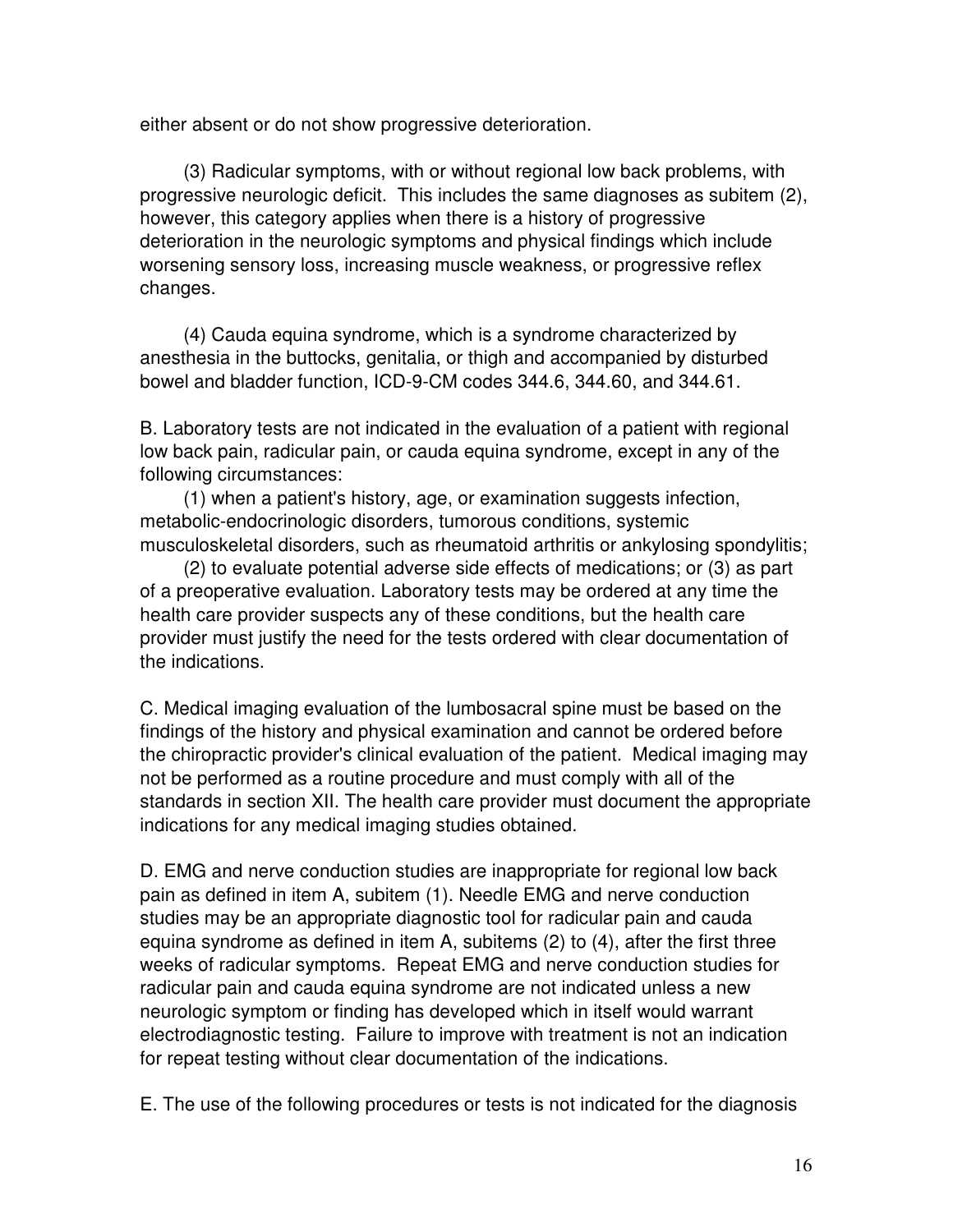either absent or do not show progressive deterioration.

 (3) Radicular symptoms, with or without regional low back problems, with progressive neurologic deficit. This includes the same diagnoses as subitem (2), however, this category applies when there is a history of progressive deterioration in the neurologic symptoms and physical findings which include worsening sensory loss, increasing muscle weakness, or progressive reflex changes.

 (4) Cauda equina syndrome, which is a syndrome characterized by anesthesia in the buttocks, genitalia, or thigh and accompanied by disturbed bowel and bladder function, ICD-9-CM codes 344.6, 344.60, and 344.61.

B. Laboratory tests are not indicated in the evaluation of a patient with regional low back pain, radicular pain, or cauda equina syndrome, except in any of the following circumstances:

 (1) when a patient's history, age, or examination suggests infection, metabolic-endocrinologic disorders, tumorous conditions, systemic musculoskeletal disorders, such as rheumatoid arthritis or ankylosing spondylitis;

 (2) to evaluate potential adverse side effects of medications; or (3) as part of a preoperative evaluation. Laboratory tests may be ordered at any time the health care provider suspects any of these conditions, but the health care provider must justify the need for the tests ordered with clear documentation of the indications.

C. Medical imaging evaluation of the lumbosacral spine must be based on the findings of the history and physical examination and cannot be ordered before the chiropractic provider's clinical evaluation of the patient. Medical imaging may not be performed as a routine procedure and must comply with all of the standards in section XII. The health care provider must document the appropriate indications for any medical imaging studies obtained.

D. EMG and nerve conduction studies are inappropriate for regional low back pain as defined in item A, subitem (1). Needle EMG and nerve conduction studies may be an appropriate diagnostic tool for radicular pain and cauda equina syndrome as defined in item A, subitems (2) to (4), after the first three weeks of radicular symptoms. Repeat EMG and nerve conduction studies for radicular pain and cauda equina syndrome are not indicated unless a new neurologic symptom or finding has developed which in itself would warrant electrodiagnostic testing. Failure to improve with treatment is not an indication for repeat testing without clear documentation of the indications.

E. The use of the following procedures or tests is not indicated for the diagnosis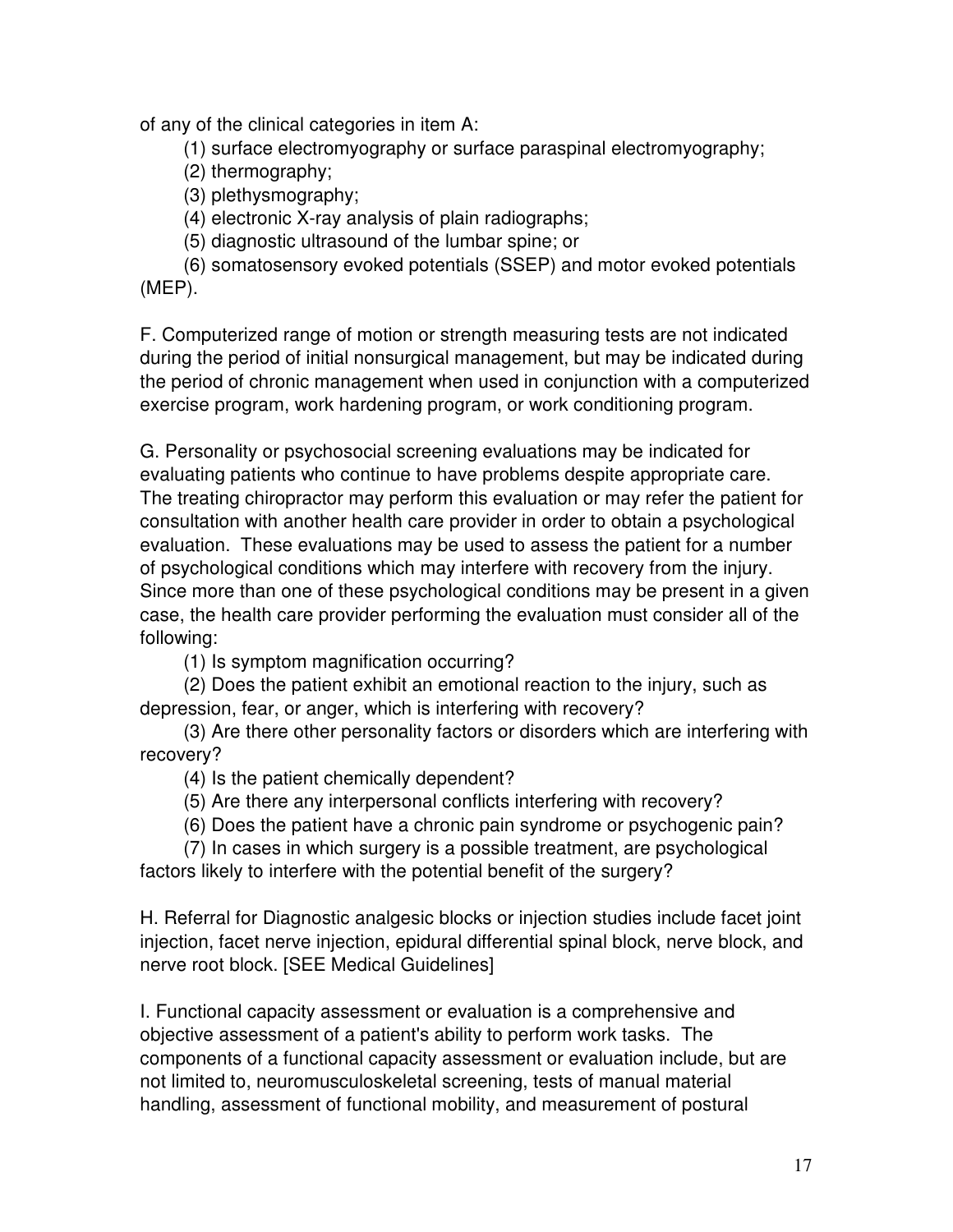of any of the clinical categories in item A:

(1) surface electromyography or surface paraspinal electromyography;

- (2) thermography;
- (3) plethysmography;

(4) electronic X-ray analysis of plain radiographs;

(5) diagnostic ultrasound of the lumbar spine; or

 (6) somatosensory evoked potentials (SSEP) and motor evoked potentials (MEP).

F. Computerized range of motion or strength measuring tests are not indicated during the period of initial nonsurgical management, but may be indicated during the period of chronic management when used in conjunction with a computerized exercise program, work hardening program, or work conditioning program.

G. Personality or psychosocial screening evaluations may be indicated for evaluating patients who continue to have problems despite appropriate care. The treating chiropractor may perform this evaluation or may refer the patient for consultation with another health care provider in order to obtain a psychological evaluation. These evaluations may be used to assess the patient for a number of psychological conditions which may interfere with recovery from the injury. Since more than one of these psychological conditions may be present in a given case, the health care provider performing the evaluation must consider all of the following:

(1) Is symptom magnification occurring?

 (2) Does the patient exhibit an emotional reaction to the injury, such as depression, fear, or anger, which is interfering with recovery?

 (3) Are there other personality factors or disorders which are interfering with recovery?

(4) Is the patient chemically dependent?

(5) Are there any interpersonal conflicts interfering with recovery?

(6) Does the patient have a chronic pain syndrome or psychogenic pain?

 (7) In cases in which surgery is a possible treatment, are psychological factors likely to interfere with the potential benefit of the surgery?

H. Referral for Diagnostic analgesic blocks or injection studies include facet joint injection, facet nerve injection, epidural differential spinal block, nerve block, and nerve root block. [SEE Medical Guidelines]

I. Functional capacity assessment or evaluation is a comprehensive and objective assessment of a patient's ability to perform work tasks. The components of a functional capacity assessment or evaluation include, but are not limited to, neuromusculoskeletal screening, tests of manual material handling, assessment of functional mobility, and measurement of postural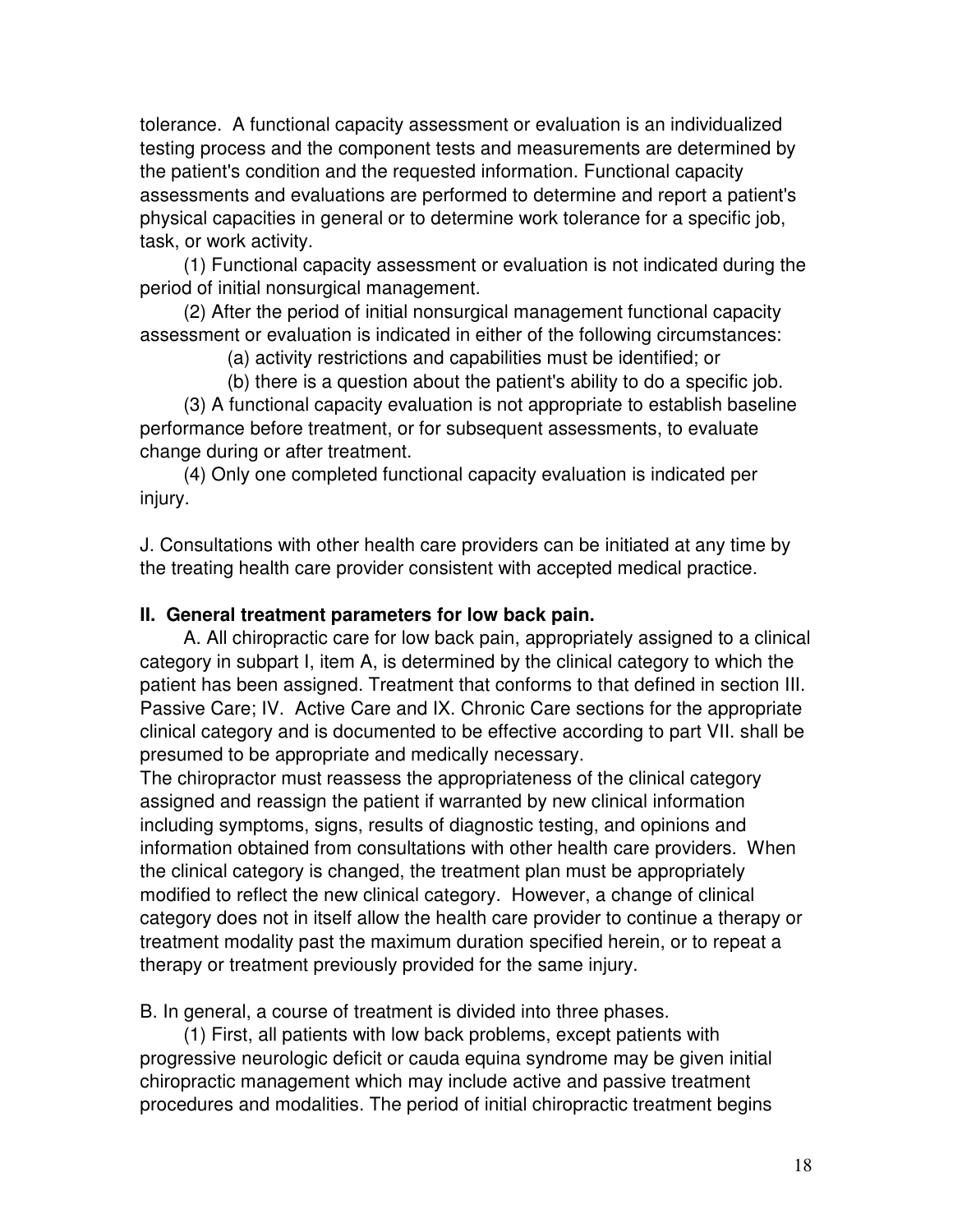tolerance. A functional capacity assessment or evaluation is an individualized testing process and the component tests and measurements are determined by the patient's condition and the requested information. Functional capacity assessments and evaluations are performed to determine and report a patient's physical capacities in general or to determine work tolerance for a specific job, task, or work activity.

 (1) Functional capacity assessment or evaluation is not indicated during the period of initial nonsurgical management.

 (2) After the period of initial nonsurgical management functional capacity assessment or evaluation is indicated in either of the following circumstances:

(a) activity restrictions and capabilities must be identified; or

 (b) there is a question about the patient's ability to do a specific job. (3) A functional capacity evaluation is not appropriate to establish baseline performance before treatment, or for subsequent assessments, to evaluate change during or after treatment.

 (4) Only one completed functional capacity evaluation is indicated per injury.

J. Consultations with other health care providers can be initiated at any time by the treating health care provider consistent with accepted medical practice.

#### **II. General treatment parameters for low back pain.**

 A. All chiropractic care for low back pain, appropriately assigned to a clinical category in subpart I, item A, is determined by the clinical category to which the patient has been assigned. Treatment that conforms to that defined in section III. Passive Care; IV. Active Care and IX. Chronic Care sections for the appropriate clinical category and is documented to be effective according to part VII. shall be presumed to be appropriate and medically necessary.

The chiropractor must reassess the appropriateness of the clinical category assigned and reassign the patient if warranted by new clinical information including symptoms, signs, results of diagnostic testing, and opinions and information obtained from consultations with other health care providers. When the clinical category is changed, the treatment plan must be appropriately modified to reflect the new clinical category. However, a change of clinical category does not in itself allow the health care provider to continue a therapy or treatment modality past the maximum duration specified herein, or to repeat a therapy or treatment previously provided for the same injury.

B. In general, a course of treatment is divided into three phases.

 (1) First, all patients with low back problems, except patients with progressive neurologic deficit or cauda equina syndrome may be given initial chiropractic management which may include active and passive treatment procedures and modalities. The period of initial chiropractic treatment begins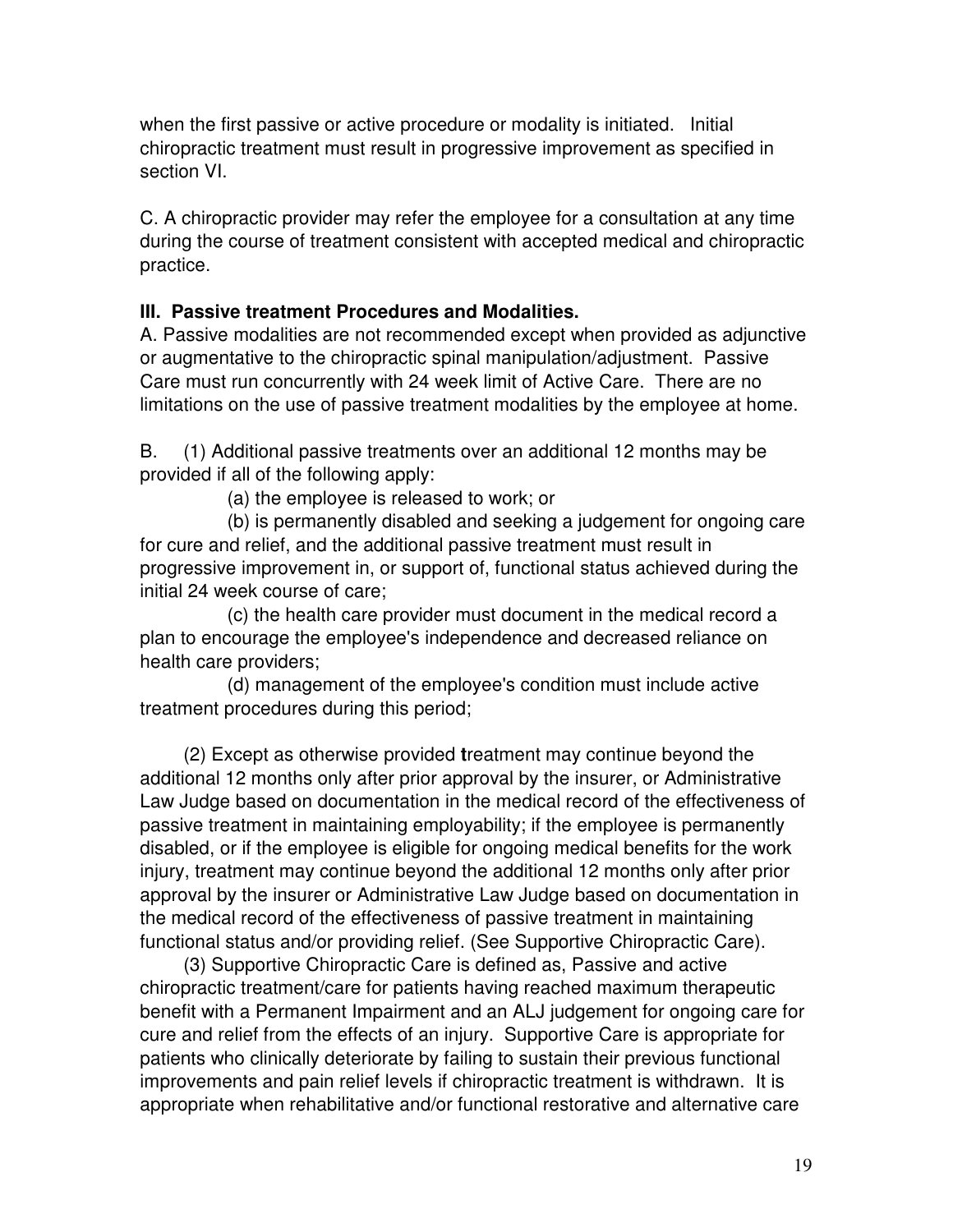when the first passive or active procedure or modality is initiated. Initial chiropractic treatment must result in progressive improvement as specified in section VI.

C. A chiropractic provider may refer the employee for a consultation at any time during the course of treatment consistent with accepted medical and chiropractic practice.

#### **III. Passive treatment Procedures and Modalities.**

A. Passive modalities are not recommended except when provided as adjunctive or augmentative to the chiropractic spinal manipulation/adjustment. Passive Care must run concurrently with 24 week limit of Active Care. There are no limitations on the use of passive treatment modalities by the employee at home.

B. (1) Additional passive treatments over an additional 12 months may be provided if all of the following apply:

(a) the employee is released to work; or

 (b) is permanently disabled and seeking a judgement for ongoing care for cure and relief, and the additional passive treatment must result in progressive improvement in, or support of, functional status achieved during the initial 24 week course of care;

 (c) the health care provider must document in the medical record a plan to encourage the employee's independence and decreased reliance on health care providers;

 (d) management of the employee's condition must include active treatment procedures during this period;

 (2) Except as otherwise provided **t**reatment may continue beyond the additional 12 months only after prior approval by the insurer, or Administrative Law Judge based on documentation in the medical record of the effectiveness of passive treatment in maintaining employability; if the employee is permanently disabled, or if the employee is eligible for ongoing medical benefits for the work injury, treatment may continue beyond the additional 12 months only after prior approval by the insurer or Administrative Law Judge based on documentation in the medical record of the effectiveness of passive treatment in maintaining functional status and/or providing relief. (See Supportive Chiropractic Care).

 (3) Supportive Chiropractic Care is defined as, Passive and active chiropractic treatment/care for patients having reached maximum therapeutic benefit with a Permanent Impairment and an ALJ judgement for ongoing care for cure and relief from the effects of an injury. Supportive Care is appropriate for patients who clinically deteriorate by failing to sustain their previous functional improvements and pain relief levels if chiropractic treatment is withdrawn. It is appropriate when rehabilitative and/or functional restorative and alternative care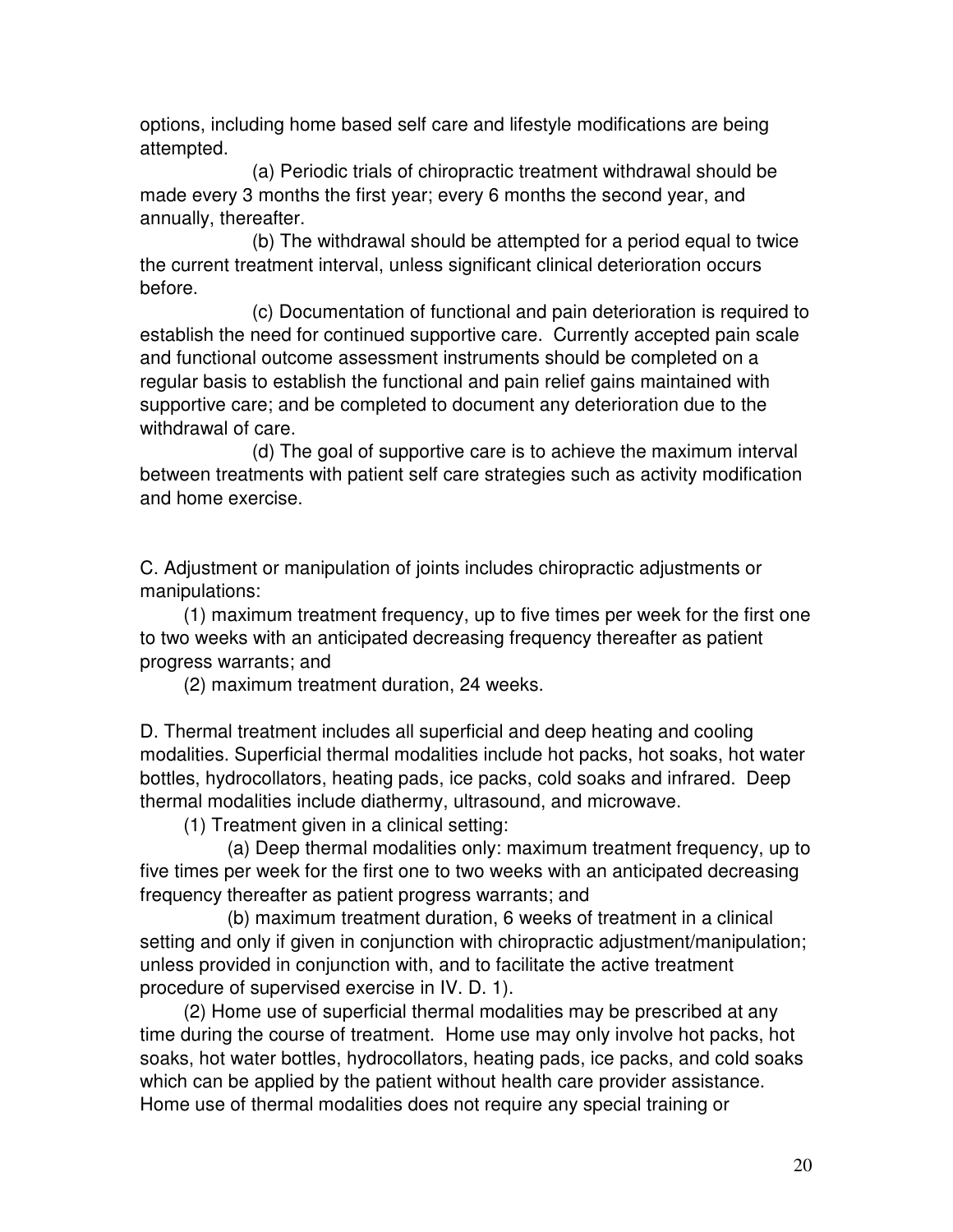options, including home based self care and lifestyle modifications are being attempted.

 (a) Periodic trials of chiropractic treatment withdrawal should be made every 3 months the first year; every 6 months the second year, and annually, thereafter.

 (b) The withdrawal should be attempted for a period equal to twice the current treatment interval, unless significant clinical deterioration occurs before.

 (c) Documentation of functional and pain deterioration is required to establish the need for continued supportive care. Currently accepted pain scale and functional outcome assessment instruments should be completed on a regular basis to establish the functional and pain relief gains maintained with supportive care; and be completed to document any deterioration due to the withdrawal of care.

 (d) The goal of supportive care is to achieve the maximum interval between treatments with patient self care strategies such as activity modification and home exercise.

C. Adjustment or manipulation of joints includes chiropractic adjustments or manipulations:

 (1) maximum treatment frequency, up to five times per week for the first one to two weeks with an anticipated decreasing frequency thereafter as patient progress warrants; and

(2) maximum treatment duration, 24 weeks.

D. Thermal treatment includes all superficial and deep heating and cooling modalities. Superficial thermal modalities include hot packs, hot soaks, hot water bottles, hydrocollators, heating pads, ice packs, cold soaks and infrared. Deep thermal modalities include diathermy, ultrasound, and microwave.

(1) Treatment given in a clinical setting:

 (a) Deep thermal modalities only: maximum treatment frequency, up to five times per week for the first one to two weeks with an anticipated decreasing frequency thereafter as patient progress warrants; and

 (b) maximum treatment duration, 6 weeks of treatment in a clinical setting and only if given in conjunction with chiropractic adjustment/manipulation; unless provided in conjunction with, and to facilitate the active treatment procedure of supervised exercise in IV. D. 1).

 (2) Home use of superficial thermal modalities may be prescribed at any time during the course of treatment. Home use may only involve hot packs, hot soaks, hot water bottles, hydrocollators, heating pads, ice packs, and cold soaks which can be applied by the patient without health care provider assistance. Home use of thermal modalities does not require any special training or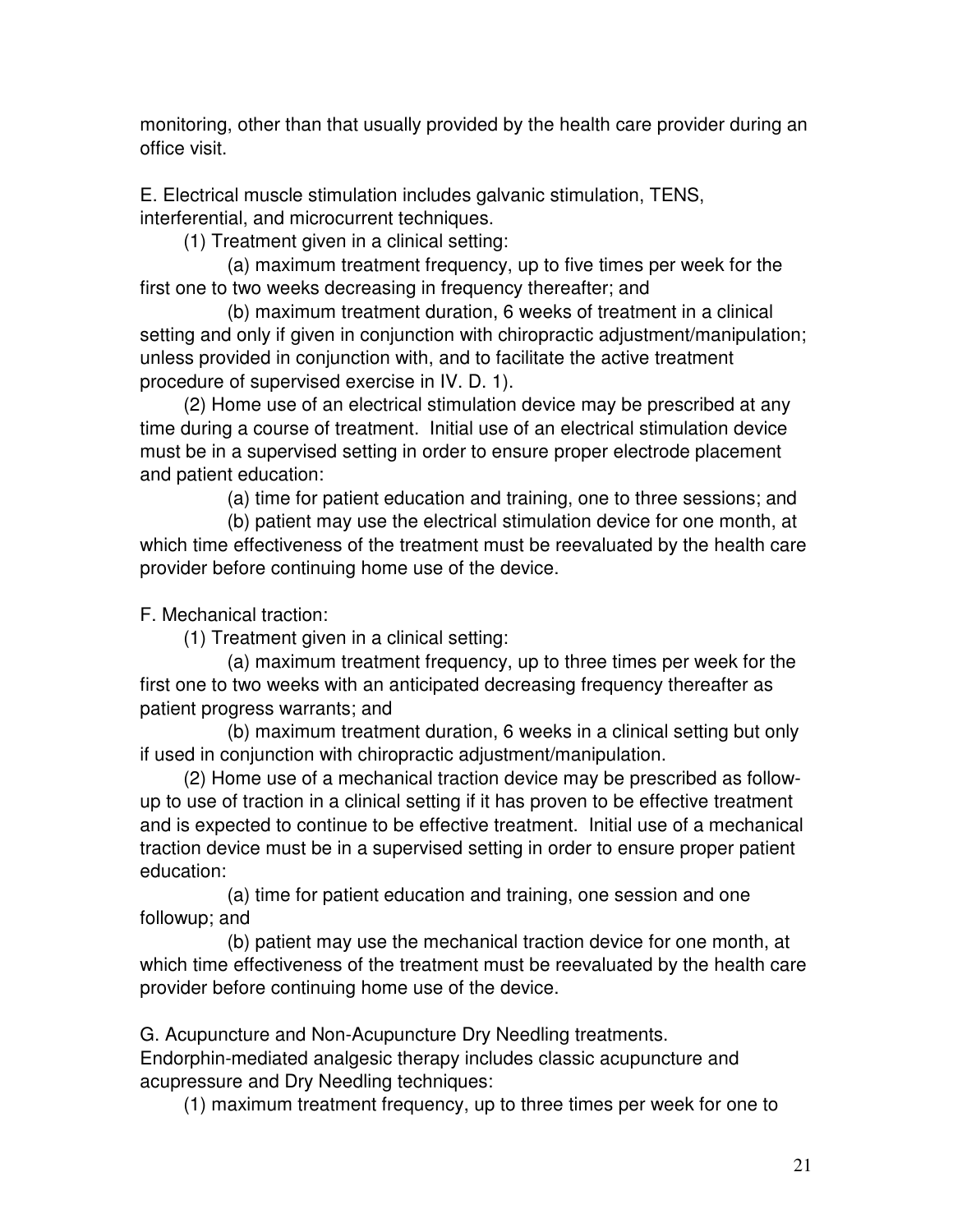monitoring, other than that usually provided by the health care provider during an office visit.

E. Electrical muscle stimulation includes galvanic stimulation, TENS, interferential, and microcurrent techniques.

(1) Treatment given in a clinical setting:

 (a) maximum treatment frequency, up to five times per week for the first one to two weeks decreasing in frequency thereafter; and

 (b) maximum treatment duration, 6 weeks of treatment in a clinical setting and only if given in conjunction with chiropractic adjustment/manipulation; unless provided in conjunction with, and to facilitate the active treatment procedure of supervised exercise in IV. D. 1).

 (2) Home use of an electrical stimulation device may be prescribed at any time during a course of treatment. Initial use of an electrical stimulation device must be in a supervised setting in order to ensure proper electrode placement and patient education:

(a) time for patient education and training, one to three sessions; and

 (b) patient may use the electrical stimulation device for one month, at which time effectiveness of the treatment must be reevaluated by the health care provider before continuing home use of the device.

F. Mechanical traction:

(1) Treatment given in a clinical setting:

 (a) maximum treatment frequency, up to three times per week for the first one to two weeks with an anticipated decreasing frequency thereafter as patient progress warrants; and

 (b) maximum treatment duration, 6 weeks in a clinical setting but only if used in conjunction with chiropractic adjustment/manipulation.

 (2) Home use of a mechanical traction device may be prescribed as followup to use of traction in a clinical setting if it has proven to be effective treatment and is expected to continue to be effective treatment. Initial use of a mechanical traction device must be in a supervised setting in order to ensure proper patient education:

 (a) time for patient education and training, one session and one followup; and

 (b) patient may use the mechanical traction device for one month, at which time effectiveness of the treatment must be reevaluated by the health care provider before continuing home use of the device.

G. Acupuncture and Non-Acupuncture Dry Needling treatments. Endorphin-mediated analgesic therapy includes classic acupuncture and acupressure and Dry Needling techniques:

(1) maximum treatment frequency, up to three times per week for one to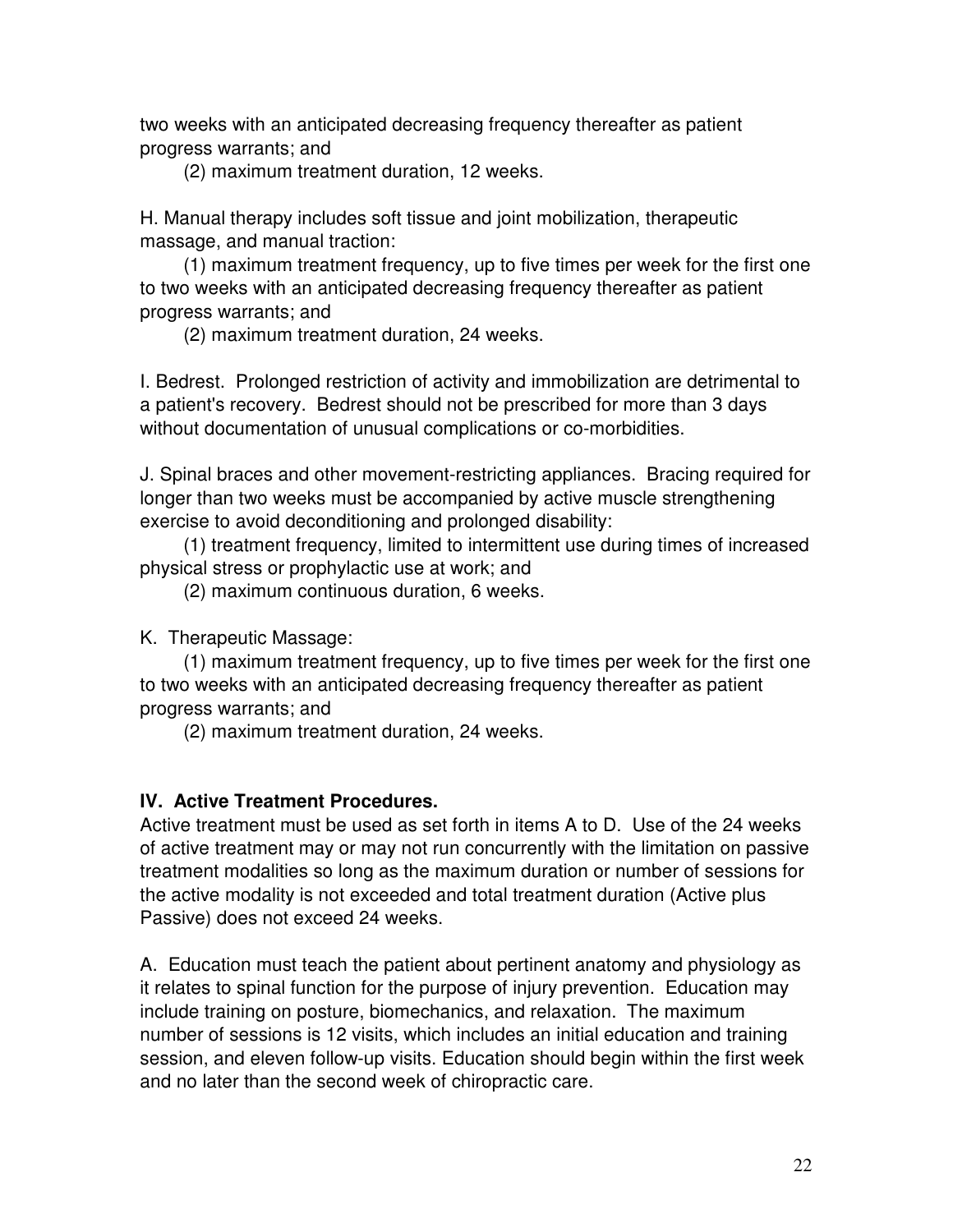two weeks with an anticipated decreasing frequency thereafter as patient progress warrants; and

(2) maximum treatment duration, 12 weeks.

H. Manual therapy includes soft tissue and joint mobilization, therapeutic massage, and manual traction:

 (1) maximum treatment frequency, up to five times per week for the first one to two weeks with an anticipated decreasing frequency thereafter as patient progress warrants; and

(2) maximum treatment duration, 24 weeks.

I. Bedrest. Prolonged restriction of activity and immobilization are detrimental to a patient's recovery. Bedrest should not be prescribed for more than 3 days without documentation of unusual complications or co-morbidities.

J. Spinal braces and other movement-restricting appliances. Bracing required for longer than two weeks must be accompanied by active muscle strengthening exercise to avoid deconditioning and prolonged disability:

 (1) treatment frequency, limited to intermittent use during times of increased physical stress or prophylactic use at work; and

(2) maximum continuous duration, 6 weeks.

K. Therapeutic Massage:

 (1) maximum treatment frequency, up to five times per week for the first one to two weeks with an anticipated decreasing frequency thereafter as patient progress warrants; and

(2) maximum treatment duration, 24 weeks.

#### **IV. Active Treatment Procedures.**

Active treatment must be used as set forth in items A to D. Use of the 24 weeks of active treatment may or may not run concurrently with the limitation on passive treatment modalities so long as the maximum duration or number of sessions for the active modality is not exceeded and total treatment duration (Active plus Passive) does not exceed 24 weeks.

A. Education must teach the patient about pertinent anatomy and physiology as it relates to spinal function for the purpose of injury prevention. Education may include training on posture, biomechanics, and relaxation. The maximum number of sessions is 12 visits, which includes an initial education and training session, and eleven follow-up visits. Education should begin within the first week and no later than the second week of chiropractic care.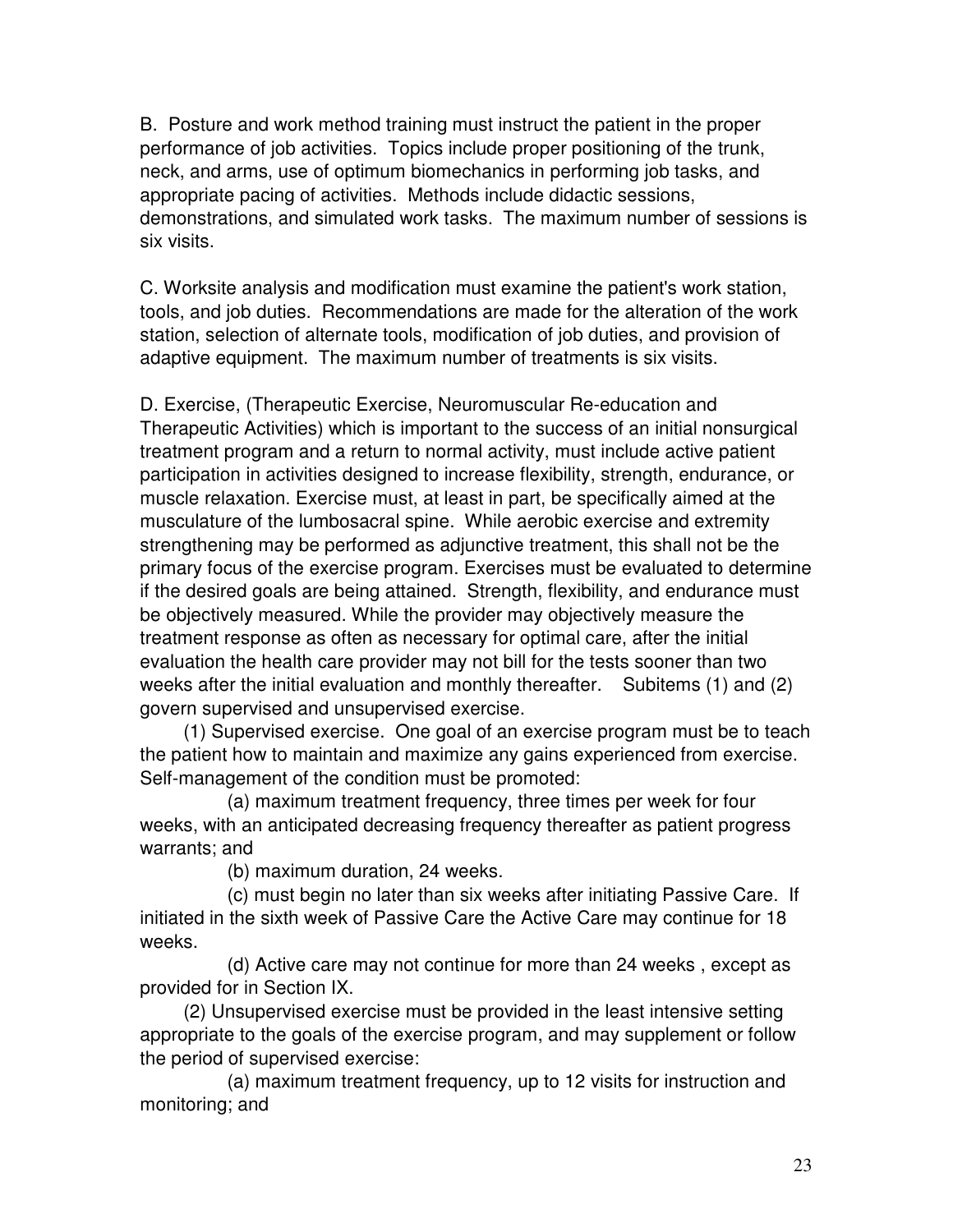B. Posture and work method training must instruct the patient in the proper performance of job activities. Topics include proper positioning of the trunk, neck, and arms, use of optimum biomechanics in performing job tasks, and appropriate pacing of activities. Methods include didactic sessions, demonstrations, and simulated work tasks. The maximum number of sessions is six visits.

C. Worksite analysis and modification must examine the patient's work station, tools, and job duties. Recommendations are made for the alteration of the work station, selection of alternate tools, modification of job duties, and provision of adaptive equipment. The maximum number of treatments is six visits.

D. Exercise, (Therapeutic Exercise, Neuromuscular Re-education and Therapeutic Activities) which is important to the success of an initial nonsurgical treatment program and a return to normal activity, must include active patient participation in activities designed to increase flexibility, strength, endurance, or muscle relaxation. Exercise must, at least in part, be specifically aimed at the musculature of the lumbosacral spine. While aerobic exercise and extremity strengthening may be performed as adjunctive treatment, this shall not be the primary focus of the exercise program. Exercises must be evaluated to determine if the desired goals are being attained. Strength, flexibility, and endurance must be objectively measured. While the provider may objectively measure the treatment response as often as necessary for optimal care, after the initial evaluation the health care provider may not bill for the tests sooner than two weeks after the initial evaluation and monthly thereafter. Subitems (1) and (2) govern supervised and unsupervised exercise.

 (1) Supervised exercise. One goal of an exercise program must be to teach the patient how to maintain and maximize any gains experienced from exercise. Self-management of the condition must be promoted:

 (a) maximum treatment frequency, three times per week for four weeks, with an anticipated decreasing frequency thereafter as patient progress warrants; and

(b) maximum duration, 24 weeks.

 (c) must begin no later than six weeks after initiating Passive Care. If initiated in the sixth week of Passive Care the Active Care may continue for 18 weeks.

 (d) Active care may not continue for more than 24 weeks , except as provided for in Section IX.

 (2) Unsupervised exercise must be provided in the least intensive setting appropriate to the goals of the exercise program, and may supplement or follow the period of supervised exercise:

 (a) maximum treatment frequency, up to 12 visits for instruction and monitoring; and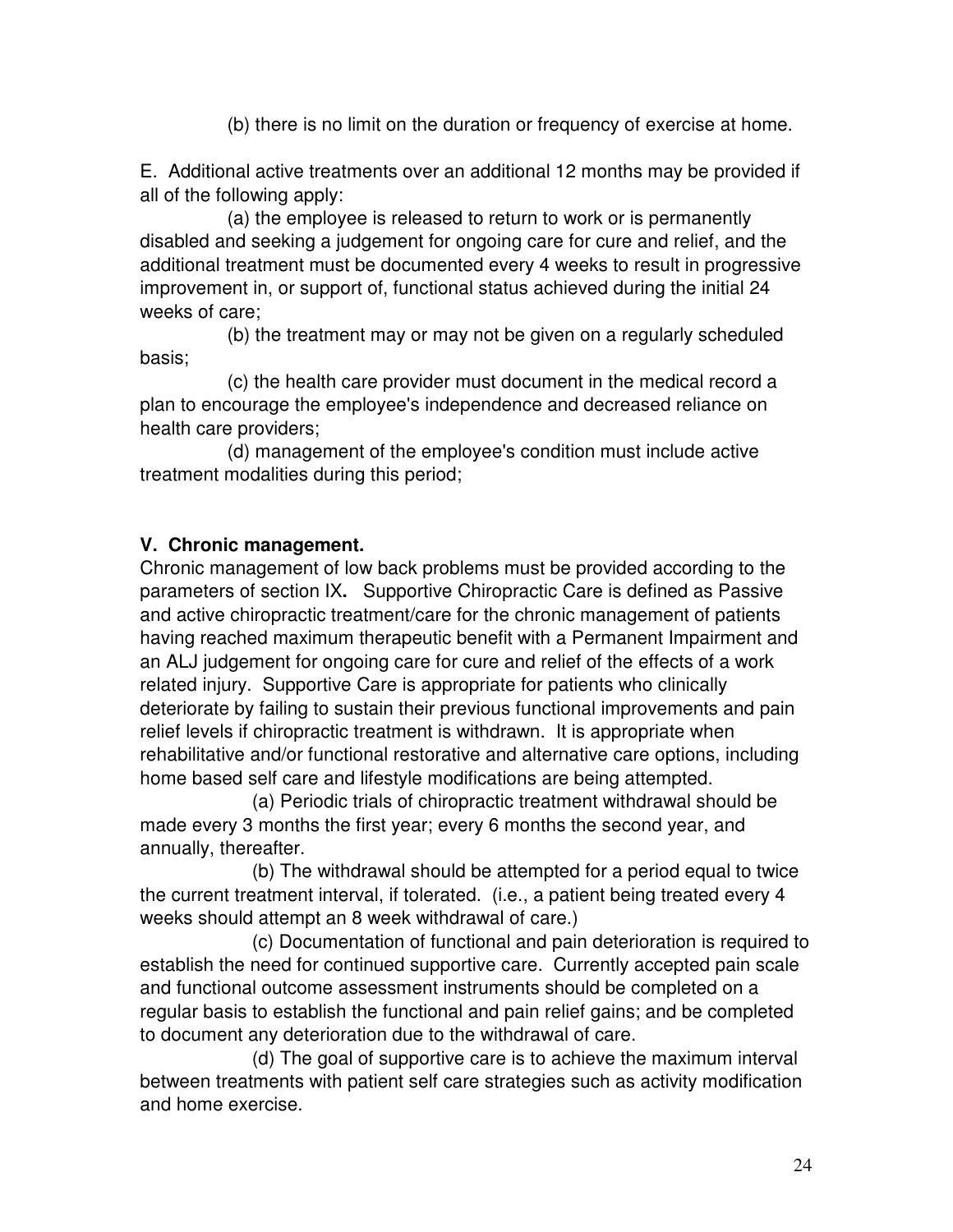(b) there is no limit on the duration or frequency of exercise at home.

E. Additional active treatments over an additional 12 months may be provided if all of the following apply:

 (a) the employee is released to return to work or is permanently disabled and seeking a judgement for ongoing care for cure and relief, and the additional treatment must be documented every 4 weeks to result in progressive improvement in, or support of, functional status achieved during the initial 24 weeks of care;

 (b) the treatment may or may not be given on a regularly scheduled basis;

 (c) the health care provider must document in the medical record a plan to encourage the employee's independence and decreased reliance on health care providers;

 (d) management of the employee's condition must include active treatment modalities during this period;

#### **V. Chronic management.**

Chronic management of low back problems must be provided according to the parameters of section IX**.** Supportive Chiropractic Care is defined as Passive and active chiropractic treatment/care for the chronic management of patients having reached maximum therapeutic benefit with a Permanent Impairment and an ALJ judgement for ongoing care for cure and relief of the effects of a work related injury. Supportive Care is appropriate for patients who clinically deteriorate by failing to sustain their previous functional improvements and pain relief levels if chiropractic treatment is withdrawn. It is appropriate when rehabilitative and/or functional restorative and alternative care options, including home based self care and lifestyle modifications are being attempted.

 (a) Periodic trials of chiropractic treatment withdrawal should be made every 3 months the first year; every 6 months the second year, and annually, thereafter.

 (b) The withdrawal should be attempted for a period equal to twice the current treatment interval, if tolerated. (i.e., a patient being treated every 4 weeks should attempt an 8 week withdrawal of care.)

 (c) Documentation of functional and pain deterioration is required to establish the need for continued supportive care. Currently accepted pain scale and functional outcome assessment instruments should be completed on a regular basis to establish the functional and pain relief gains; and be completed to document any deterioration due to the withdrawal of care.

 (d) The goal of supportive care is to achieve the maximum interval between treatments with patient self care strategies such as activity modification and home exercise.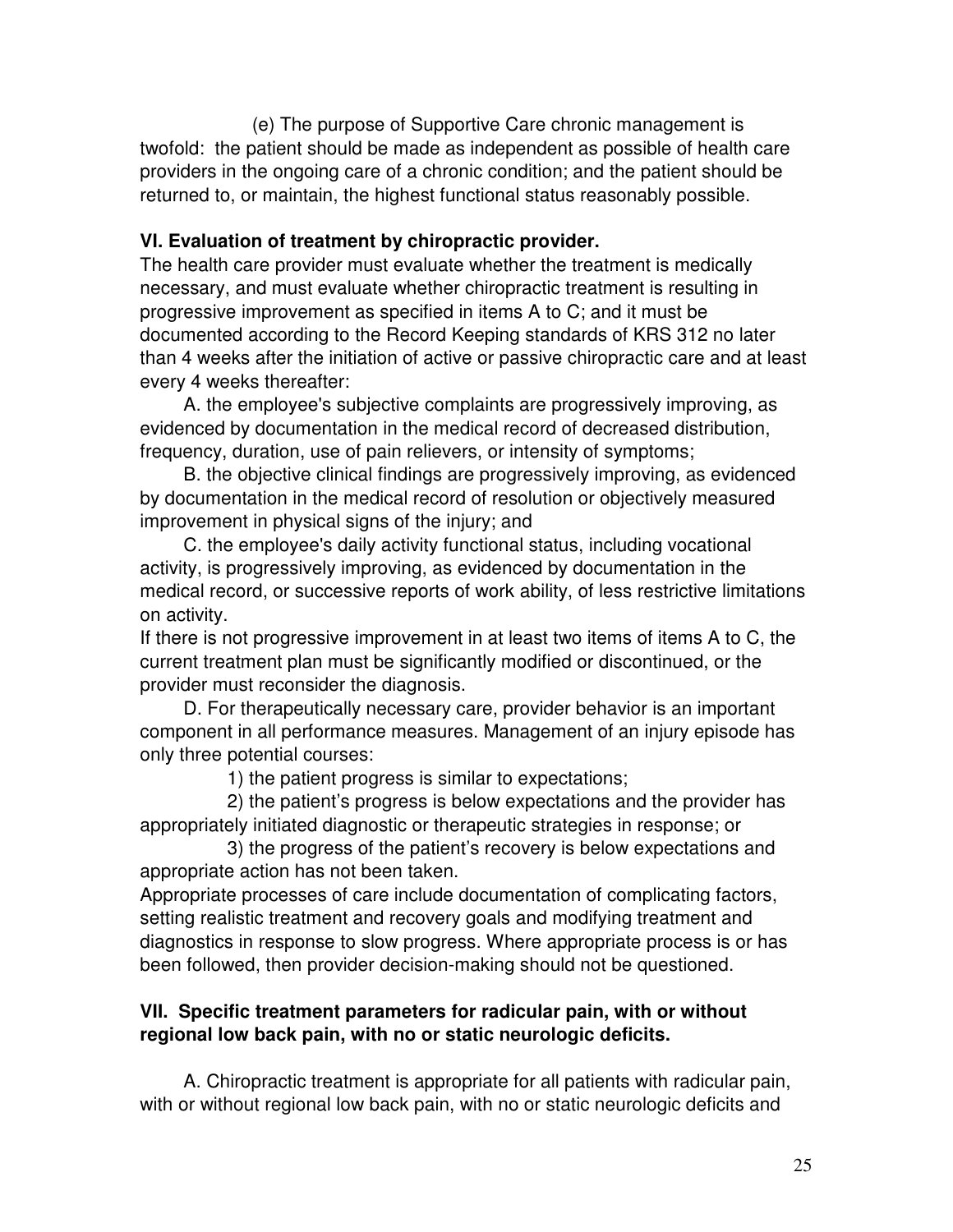(e) The purpose of Supportive Care chronic management is twofold: the patient should be made as independent as possible of health care providers in the ongoing care of a chronic condition; and the patient should be returned to, or maintain, the highest functional status reasonably possible.

#### **VI. Evaluation of treatment by chiropractic provider.**

The health care provider must evaluate whether the treatment is medically necessary, and must evaluate whether chiropractic treatment is resulting in progressive improvement as specified in items A to C; and it must be documented according to the Record Keeping standards of KRS 312 no later than 4 weeks after the initiation of active or passive chiropractic care and at least every 4 weeks thereafter:

 A. the employee's subjective complaints are progressively improving, as evidenced by documentation in the medical record of decreased distribution, frequency, duration, use of pain relievers, or intensity of symptoms;

 B. the objective clinical findings are progressively improving, as evidenced by documentation in the medical record of resolution or objectively measured improvement in physical signs of the injury; and

 C. the employee's daily activity functional status, including vocational activity, is progressively improving, as evidenced by documentation in the medical record, or successive reports of work ability, of less restrictive limitations on activity.

If there is not progressive improvement in at least two items of items A to C, the current treatment plan must be significantly modified or discontinued, or the provider must reconsider the diagnosis.

 D. For therapeutically necessary care, provider behavior is an important component in all performance measures. Management of an injury episode has only three potential courses:

1) the patient progress is similar to expectations;

 2) the patient's progress is below expectations and the provider has appropriately initiated diagnostic or therapeutic strategies in response; or

 3) the progress of the patient's recovery is below expectations and appropriate action has not been taken.

Appropriate processes of care include documentation of complicating factors, setting realistic treatment and recovery goals and modifying treatment and diagnostics in response to slow progress. Where appropriate process is or has been followed, then provider decision-making should not be questioned.

#### **VII. Specific treatment parameters for radicular pain, with or without regional low back pain, with no or static neurologic deficits.**

 A. Chiropractic treatment is appropriate for all patients with radicular pain, with or without regional low back pain, with no or static neurologic deficits and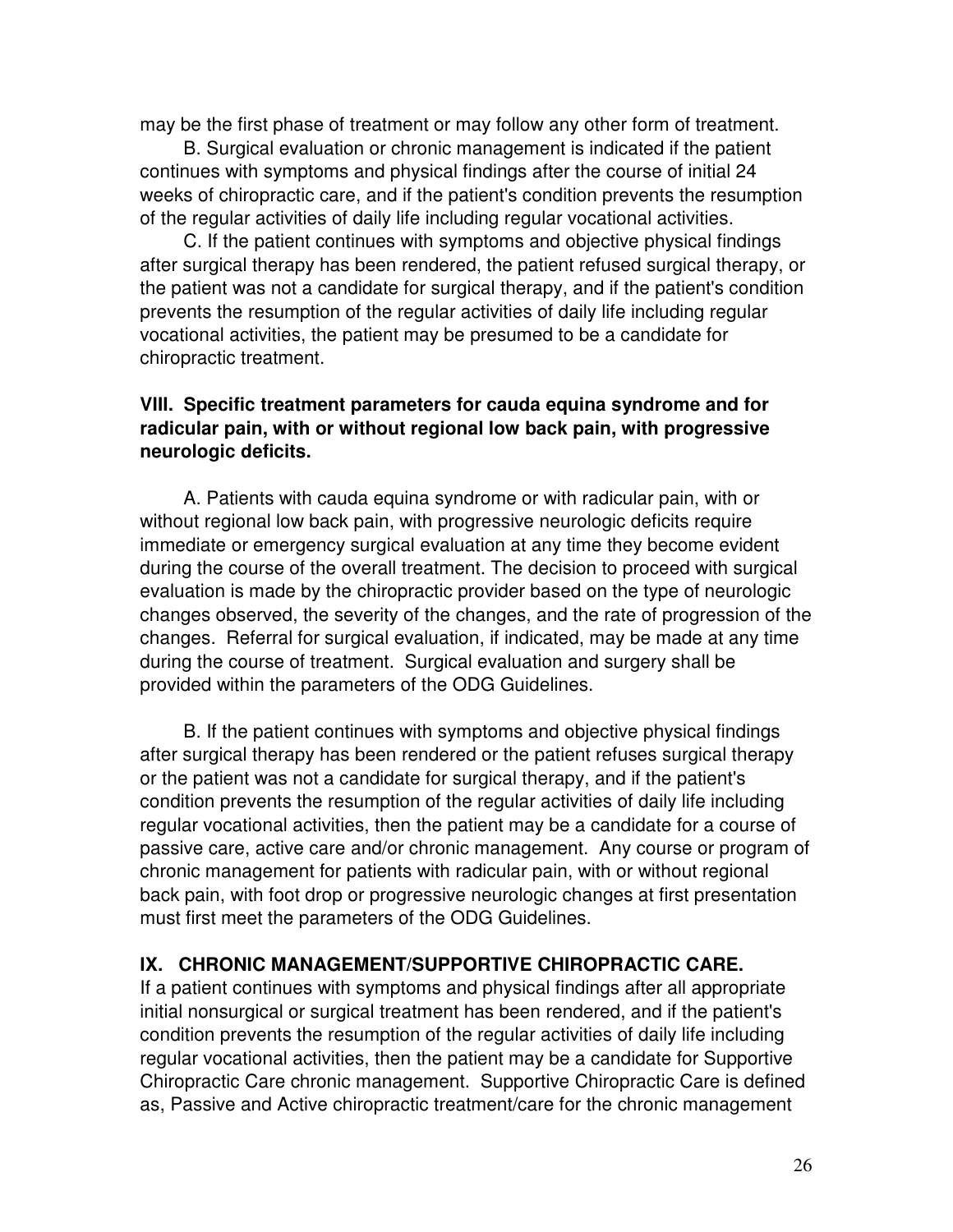may be the first phase of treatment or may follow any other form of treatment.

 B. Surgical evaluation or chronic management is indicated if the patient continues with symptoms and physical findings after the course of initial 24 weeks of chiropractic care, and if the patient's condition prevents the resumption of the regular activities of daily life including regular vocational activities.

 C. If the patient continues with symptoms and objective physical findings after surgical therapy has been rendered, the patient refused surgical therapy, or the patient was not a candidate for surgical therapy, and if the patient's condition prevents the resumption of the regular activities of daily life including regular vocational activities, the patient may be presumed to be a candidate for chiropractic treatment.

#### **VIII. Specific treatment parameters for cauda equina syndrome and for radicular pain, with or without regional low back pain, with progressive neurologic deficits.**

 A. Patients with cauda equina syndrome or with radicular pain, with or without regional low back pain, with progressive neurologic deficits require immediate or emergency surgical evaluation at any time they become evident during the course of the overall treatment. The decision to proceed with surgical evaluation is made by the chiropractic provider based on the type of neurologic changes observed, the severity of the changes, and the rate of progression of the changes. Referral for surgical evaluation, if indicated, may be made at any time during the course of treatment. Surgical evaluation and surgery shall be provided within the parameters of the ODG Guidelines.

 B. If the patient continues with symptoms and objective physical findings after surgical therapy has been rendered or the patient refuses surgical therapy or the patient was not a candidate for surgical therapy, and if the patient's condition prevents the resumption of the regular activities of daily life including regular vocational activities, then the patient may be a candidate for a course of passive care, active care and/or chronic management. Any course or program of chronic management for patients with radicular pain, with or without regional back pain, with foot drop or progressive neurologic changes at first presentation must first meet the parameters of the ODG Guidelines.

#### **IX. CHRONIC MANAGEMENT/SUPPORTIVE CHIROPRACTIC CARE.**

If a patient continues with symptoms and physical findings after all appropriate initial nonsurgical or surgical treatment has been rendered, and if the patient's condition prevents the resumption of the regular activities of daily life including regular vocational activities, then the patient may be a candidate for Supportive Chiropractic Care chronic management. Supportive Chiropractic Care is defined as, Passive and Active chiropractic treatment/care for the chronic management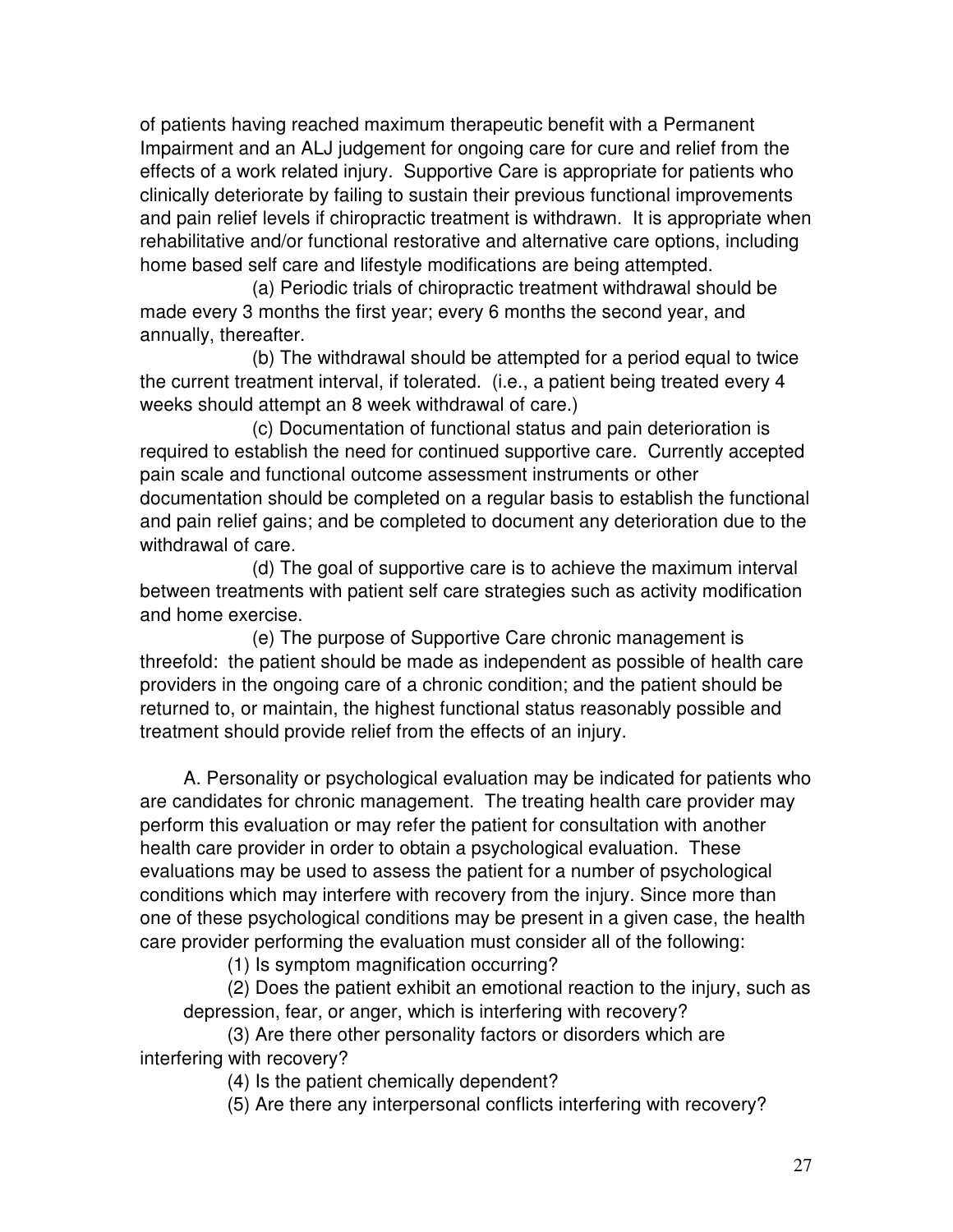of patients having reached maximum therapeutic benefit with a Permanent Impairment and an ALJ judgement for ongoing care for cure and relief from the effects of a work related injury. Supportive Care is appropriate for patients who clinically deteriorate by failing to sustain their previous functional improvements and pain relief levels if chiropractic treatment is withdrawn. It is appropriate when rehabilitative and/or functional restorative and alternative care options, including home based self care and lifestyle modifications are being attempted.

 (a) Periodic trials of chiropractic treatment withdrawal should be made every 3 months the first year; every 6 months the second year, and annually, thereafter.

 (b) The withdrawal should be attempted for a period equal to twice the current treatment interval, if tolerated. (i.e., a patient being treated every 4 weeks should attempt an 8 week withdrawal of care.)

 (c) Documentation of functional status and pain deterioration is required to establish the need for continued supportive care. Currently accepted pain scale and functional outcome assessment instruments or other documentation should be completed on a regular basis to establish the functional and pain relief gains; and be completed to document any deterioration due to the withdrawal of care.

 (d) The goal of supportive care is to achieve the maximum interval between treatments with patient self care strategies such as activity modification and home exercise.

 (e) The purpose of Supportive Care chronic management is threefold: the patient should be made as independent as possible of health care providers in the ongoing care of a chronic condition; and the patient should be returned to, or maintain, the highest functional status reasonably possible and treatment should provide relief from the effects of an injury.

 A. Personality or psychological evaluation may be indicated for patients who are candidates for chronic management. The treating health care provider may perform this evaluation or may refer the patient for consultation with another health care provider in order to obtain a psychological evaluation. These evaluations may be used to assess the patient for a number of psychological conditions which may interfere with recovery from the injury. Since more than one of these psychological conditions may be present in a given case, the health care provider performing the evaluation must consider all of the following:

(1) Is symptom magnification occurring?

 (2) Does the patient exhibit an emotional reaction to the injury, such as depression, fear, or anger, which is interfering with recovery?

 (3) Are there other personality factors or disorders which are interfering with recovery?

(4) Is the patient chemically dependent?

(5) Are there any interpersonal conflicts interfering with recovery?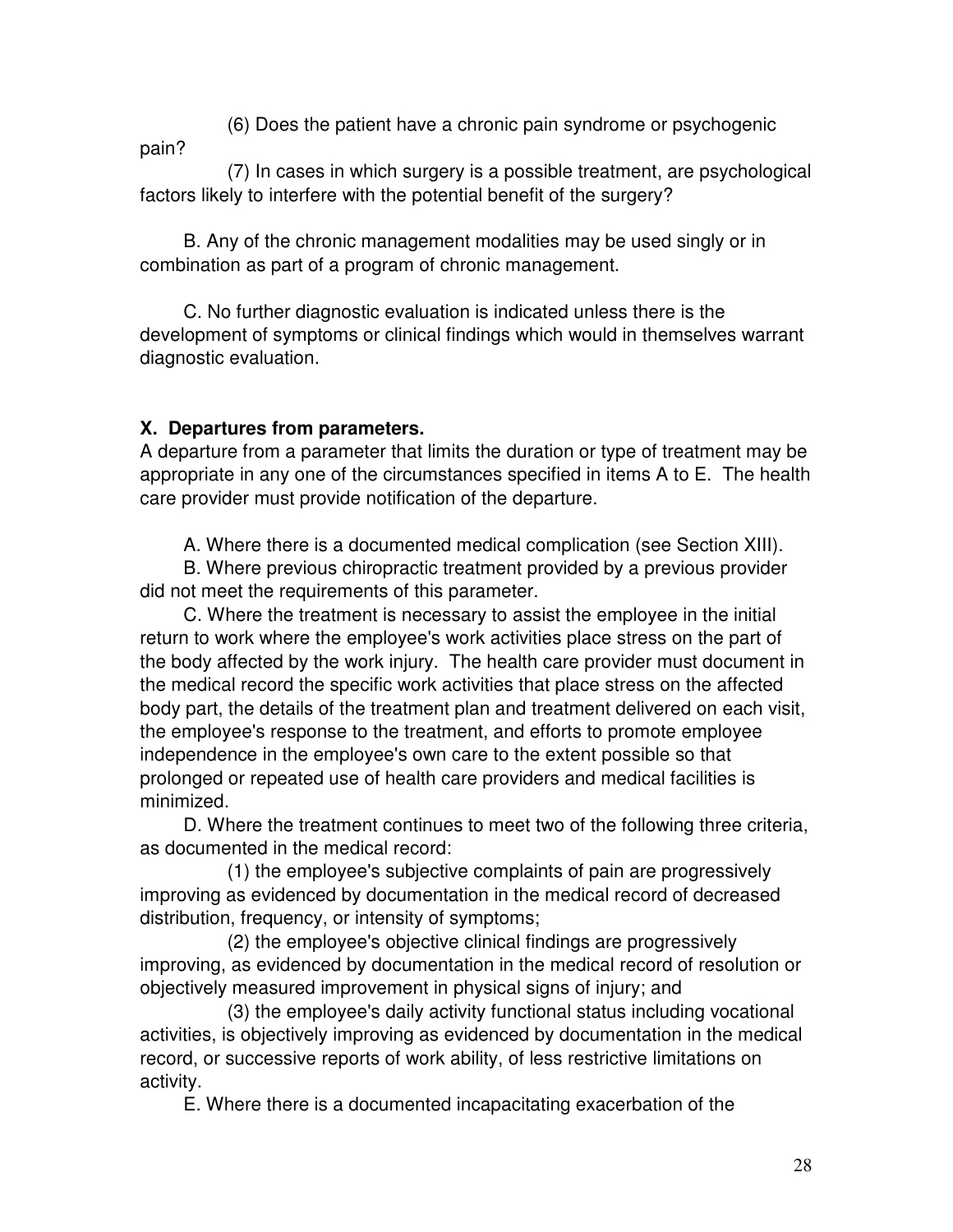(6) Does the patient have a chronic pain syndrome or psychogenic

pain?

 (7) In cases in which surgery is a possible treatment, are psychological factors likely to interfere with the potential benefit of the surgery?

 B. Any of the chronic management modalities may be used singly or in combination as part of a program of chronic management.

 C. No further diagnostic evaluation is indicated unless there is the development of symptoms or clinical findings which would in themselves warrant diagnostic evaluation.

#### **X. Departures from parameters.**

A departure from a parameter that limits the duration or type of treatment may be appropriate in any one of the circumstances specified in items A to E. The health care provider must provide notification of the departure.

A. Where there is a documented medical complication (see Section XIII).

 B. Where previous chiropractic treatment provided by a previous provider did not meet the requirements of this parameter.

 C. Where the treatment is necessary to assist the employee in the initial return to work where the employee's work activities place stress on the part of the body affected by the work injury. The health care provider must document in the medical record the specific work activities that place stress on the affected body part, the details of the treatment plan and treatment delivered on each visit, the employee's response to the treatment, and efforts to promote employee independence in the employee's own care to the extent possible so that prolonged or repeated use of health care providers and medical facilities is minimized.

 D. Where the treatment continues to meet two of the following three criteria, as documented in the medical record:

 (1) the employee's subjective complaints of pain are progressively improving as evidenced by documentation in the medical record of decreased distribution, frequency, or intensity of symptoms;

 (2) the employee's objective clinical findings are progressively improving, as evidenced by documentation in the medical record of resolution or objectively measured improvement in physical signs of injury; and

 (3) the employee's daily activity functional status including vocational activities, is objectively improving as evidenced by documentation in the medical record, or successive reports of work ability, of less restrictive limitations on activity.

E. Where there is a documented incapacitating exacerbation of the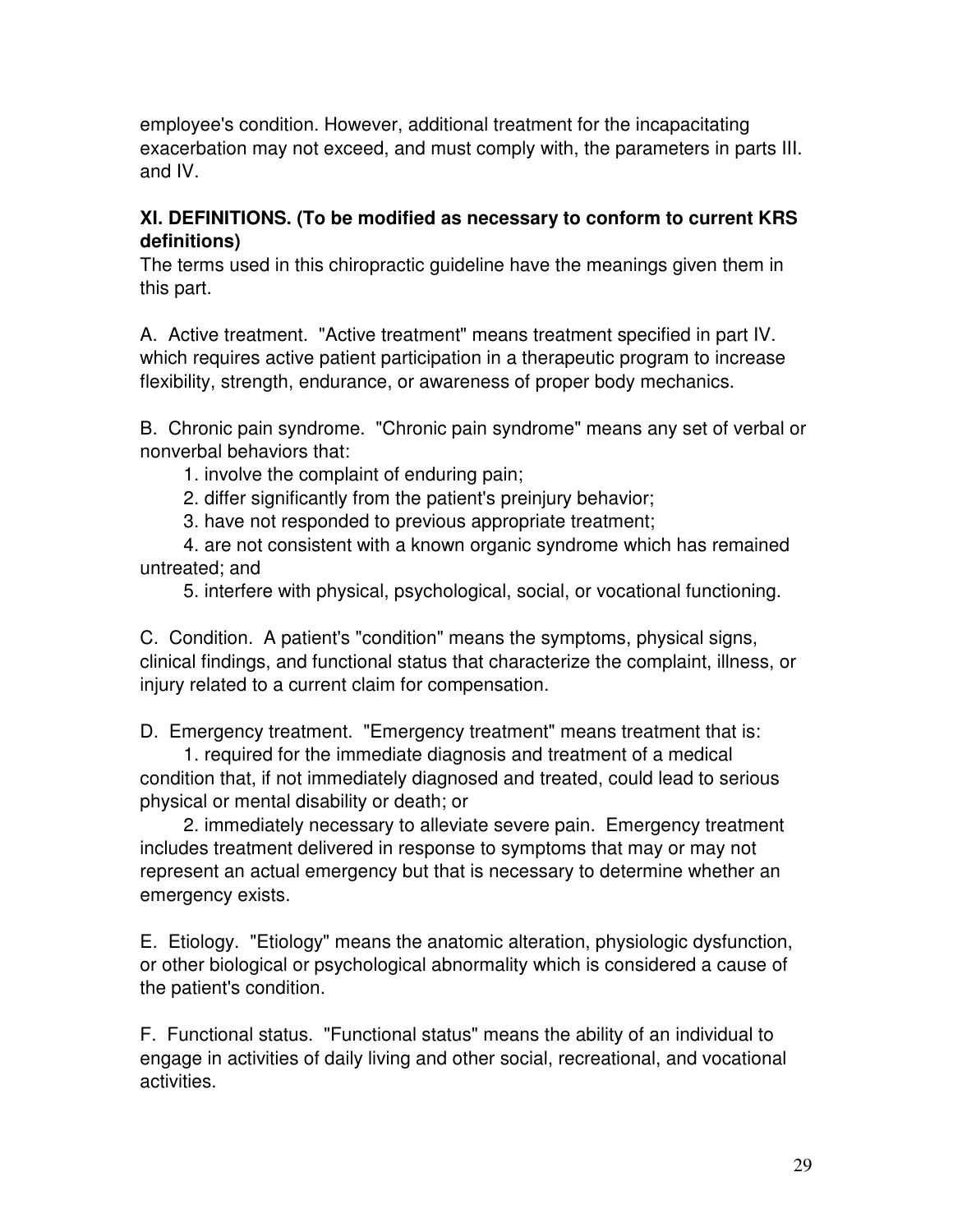employee's condition. However, additional treatment for the incapacitating exacerbation may not exceed, and must comply with, the parameters in parts III. and IV.

#### **XI. DEFINITIONS. (To be modified as necessary to conform to current KRS definitions)**

The terms used in this chiropractic guideline have the meanings given them in this part.

A. Active treatment. "Active treatment" means treatment specified in part IV. which requires active patient participation in a therapeutic program to increase flexibility, strength, endurance, or awareness of proper body mechanics.

B. Chronic pain syndrome. "Chronic pain syndrome" means any set of verbal or nonverbal behaviors that:

1. involve the complaint of enduring pain;

2. differ significantly from the patient's preinjury behavior;

3. have not responded to previous appropriate treatment;

 4. are not consistent with a known organic syndrome which has remained untreated; and

5. interfere with physical, psychological, social, or vocational functioning.

C. Condition. A patient's "condition" means the symptoms, physical signs, clinical findings, and functional status that characterize the complaint, illness, or injury related to a current claim for compensation.

D. Emergency treatment. "Emergency treatment" means treatment that is:

 1. required for the immediate diagnosis and treatment of a medical condition that, if not immediately diagnosed and treated, could lead to serious physical or mental disability or death; or

 2. immediately necessary to alleviate severe pain. Emergency treatment includes treatment delivered in response to symptoms that may or may not represent an actual emergency but that is necessary to determine whether an emergency exists.

E. Etiology. "Etiology" means the anatomic alteration, physiologic dysfunction, or other biological or psychological abnormality which is considered a cause of the patient's condition.

F. Functional status. "Functional status" means the ability of an individual to engage in activities of daily living and other social, recreational, and vocational activities.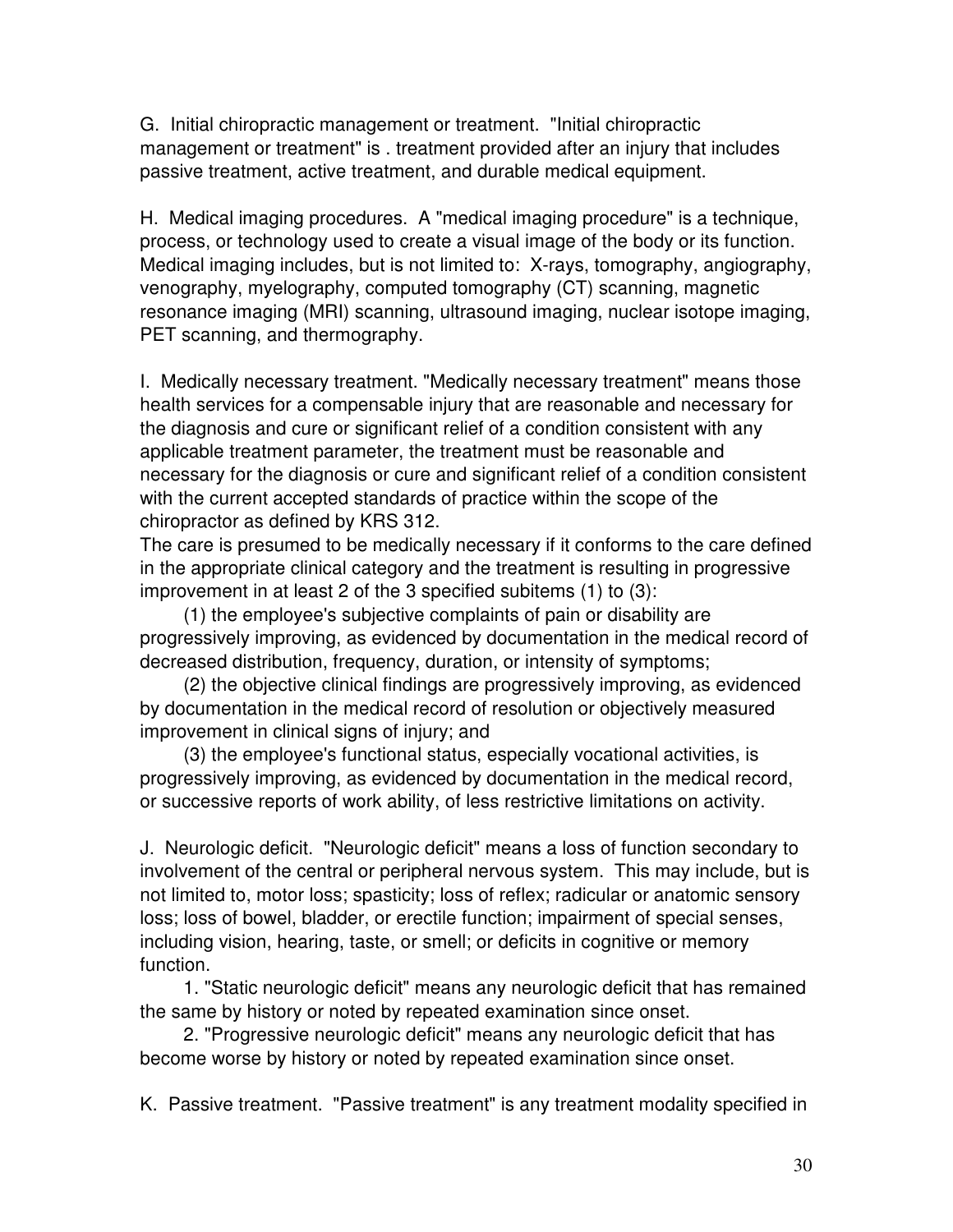G. Initial chiropractic management or treatment. "Initial chiropractic management or treatment" is . treatment provided after an injury that includes passive treatment, active treatment, and durable medical equipment.

H. Medical imaging procedures. A "medical imaging procedure" is a technique, process, or technology used to create a visual image of the body or its function. Medical imaging includes, but is not limited to: X-rays, tomography, angiography, venography, myelography, computed tomography (CT) scanning, magnetic resonance imaging (MRI) scanning, ultrasound imaging, nuclear isotope imaging, PET scanning, and thermography.

I. Medically necessary treatment. "Medically necessary treatment" means those health services for a compensable injury that are reasonable and necessary for the diagnosis and cure or significant relief of a condition consistent with any applicable treatment parameter, the treatment must be reasonable and necessary for the diagnosis or cure and significant relief of a condition consistent with the current accepted standards of practice within the scope of the chiropractor as defined by KRS 312.

The care is presumed to be medically necessary if it conforms to the care defined in the appropriate clinical category and the treatment is resulting in progressive improvement in at least 2 of the 3 specified subitems (1) to (3):

 (1) the employee's subjective complaints of pain or disability are progressively improving, as evidenced by documentation in the medical record of decreased distribution, frequency, duration, or intensity of symptoms;

 (2) the objective clinical findings are progressively improving, as evidenced by documentation in the medical record of resolution or objectively measured improvement in clinical signs of injury; and

 (3) the employee's functional status, especially vocational activities, is progressively improving, as evidenced by documentation in the medical record, or successive reports of work ability, of less restrictive limitations on activity.

J. Neurologic deficit. "Neurologic deficit" means a loss of function secondary to involvement of the central or peripheral nervous system. This may include, but is not limited to, motor loss; spasticity; loss of reflex; radicular or anatomic sensory loss; loss of bowel, bladder, or erectile function; impairment of special senses, including vision, hearing, taste, or smell; or deficits in cognitive or memory function.

 1. "Static neurologic deficit" means any neurologic deficit that has remained the same by history or noted by repeated examination since onset.

 2. "Progressive neurologic deficit" means any neurologic deficit that has become worse by history or noted by repeated examination since onset.

K. Passive treatment. "Passive treatment" is any treatment modality specified in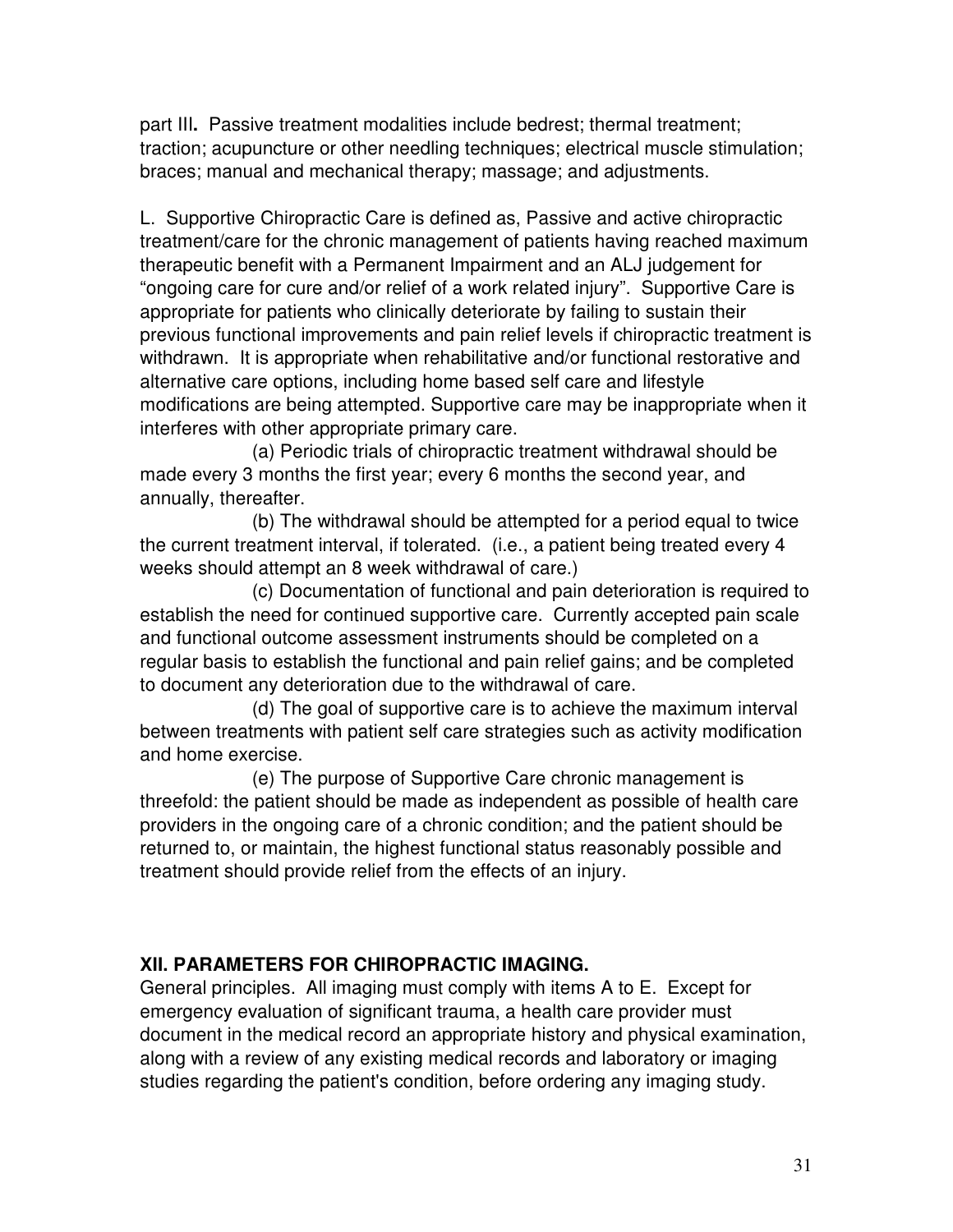part III**.** Passive treatment modalities include bedrest; thermal treatment; traction; acupuncture or other needling techniques; electrical muscle stimulation; braces; manual and mechanical therapy; massage; and adjustments.

L. Supportive Chiropractic Care is defined as, Passive and active chiropractic treatment/care for the chronic management of patients having reached maximum therapeutic benefit with a Permanent Impairment and an ALJ judgement for "ongoing care for cure and/or relief of a work related injury". Supportive Care is appropriate for patients who clinically deteriorate by failing to sustain their previous functional improvements and pain relief levels if chiropractic treatment is withdrawn. It is appropriate when rehabilitative and/or functional restorative and alternative care options, including home based self care and lifestyle modifications are being attempted. Supportive care may be inappropriate when it interferes with other appropriate primary care.

 (a) Periodic trials of chiropractic treatment withdrawal should be made every 3 months the first year; every 6 months the second year, and annually, thereafter.

 (b) The withdrawal should be attempted for a period equal to twice the current treatment interval, if tolerated. (i.e., a patient being treated every 4 weeks should attempt an 8 week withdrawal of care.)

 (c) Documentation of functional and pain deterioration is required to establish the need for continued supportive care. Currently accepted pain scale and functional outcome assessment instruments should be completed on a regular basis to establish the functional and pain relief gains; and be completed to document any deterioration due to the withdrawal of care.

 (d) The goal of supportive care is to achieve the maximum interval between treatments with patient self care strategies such as activity modification and home exercise.

 (e) The purpose of Supportive Care chronic management is threefold: the patient should be made as independent as possible of health care providers in the ongoing care of a chronic condition; and the patient should be returned to, or maintain, the highest functional status reasonably possible and treatment should provide relief from the effects of an injury.

#### **XII. PARAMETERS FOR CHIROPRACTIC IMAGING.**

General principles. All imaging must comply with items A to E. Except for emergency evaluation of significant trauma, a health care provider must document in the medical record an appropriate history and physical examination, along with a review of any existing medical records and laboratory or imaging studies regarding the patient's condition, before ordering any imaging study.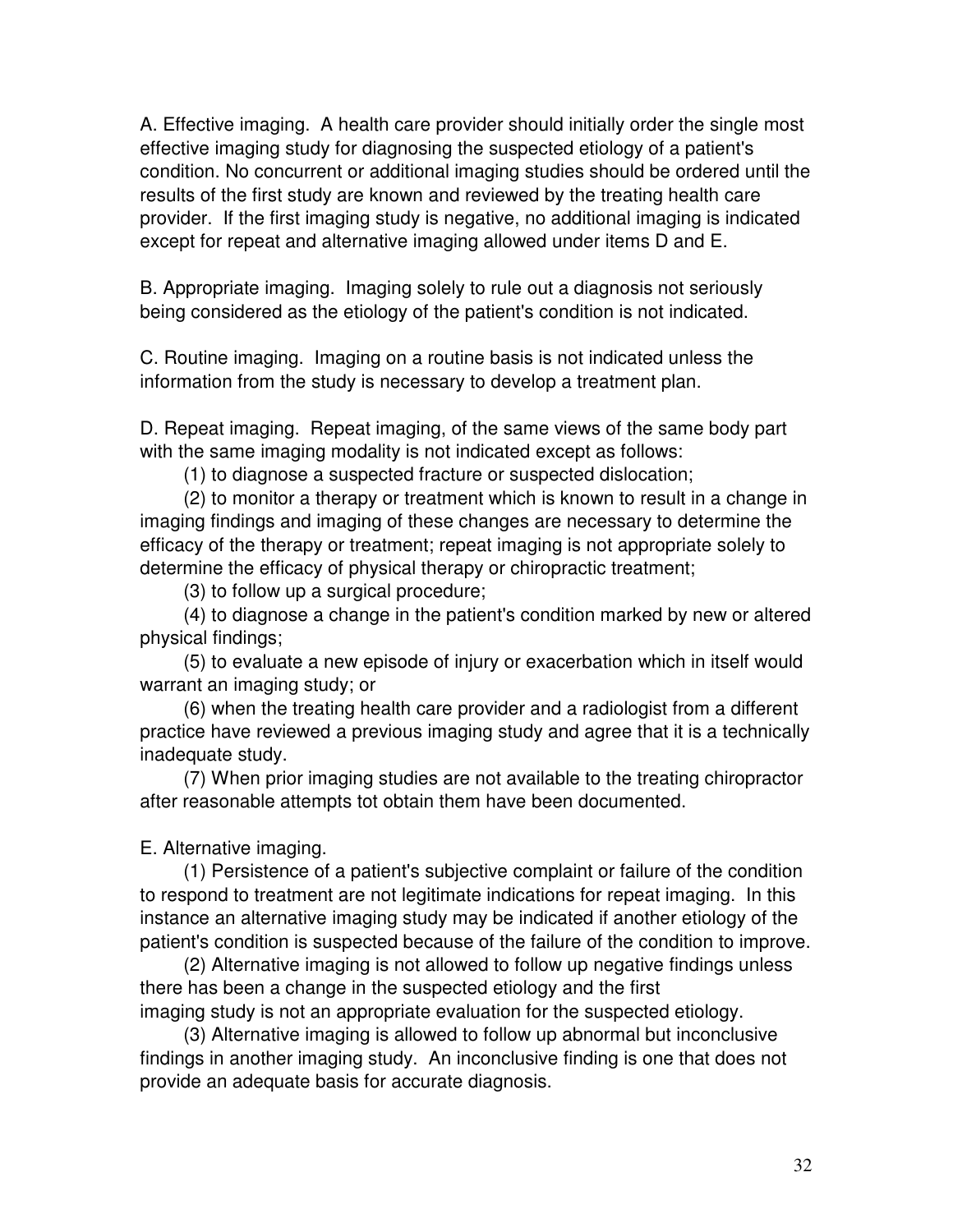A. Effective imaging. A health care provider should initially order the single most effective imaging study for diagnosing the suspected etiology of a patient's condition. No concurrent or additional imaging studies should be ordered until the results of the first study are known and reviewed by the treating health care provider. If the first imaging study is negative, no additional imaging is indicated except for repeat and alternative imaging allowed under items D and E.

B. Appropriate imaging. Imaging solely to rule out a diagnosis not seriously being considered as the etiology of the patient's condition is not indicated.

C. Routine imaging. Imaging on a routine basis is not indicated unless the information from the study is necessary to develop a treatment plan.

D. Repeat imaging. Repeat imaging, of the same views of the same body part with the same imaging modality is not indicated except as follows:

(1) to diagnose a suspected fracture or suspected dislocation;

 (2) to monitor a therapy or treatment which is known to result in a change in imaging findings and imaging of these changes are necessary to determine the efficacy of the therapy or treatment; repeat imaging is not appropriate solely to determine the efficacy of physical therapy or chiropractic treatment;

(3) to follow up a surgical procedure;

 (4) to diagnose a change in the patient's condition marked by new or altered physical findings;

 (5) to evaluate a new episode of injury or exacerbation which in itself would warrant an imaging study; or

 (6) when the treating health care provider and a radiologist from a different practice have reviewed a previous imaging study and agree that it is a technically inadequate study.

 (7) When prior imaging studies are not available to the treating chiropractor after reasonable attempts tot obtain them have been documented.

E. Alternative imaging.

 (1) Persistence of a patient's subjective complaint or failure of the condition to respond to treatment are not legitimate indications for repeat imaging. In this instance an alternative imaging study may be indicated if another etiology of the patient's condition is suspected because of the failure of the condition to improve.

 (2) Alternative imaging is not allowed to follow up negative findings unless there has been a change in the suspected etiology and the first imaging study is not an appropriate evaluation for the suspected etiology.

 (3) Alternative imaging is allowed to follow up abnormal but inconclusive findings in another imaging study. An inconclusive finding is one that does not provide an adequate basis for accurate diagnosis.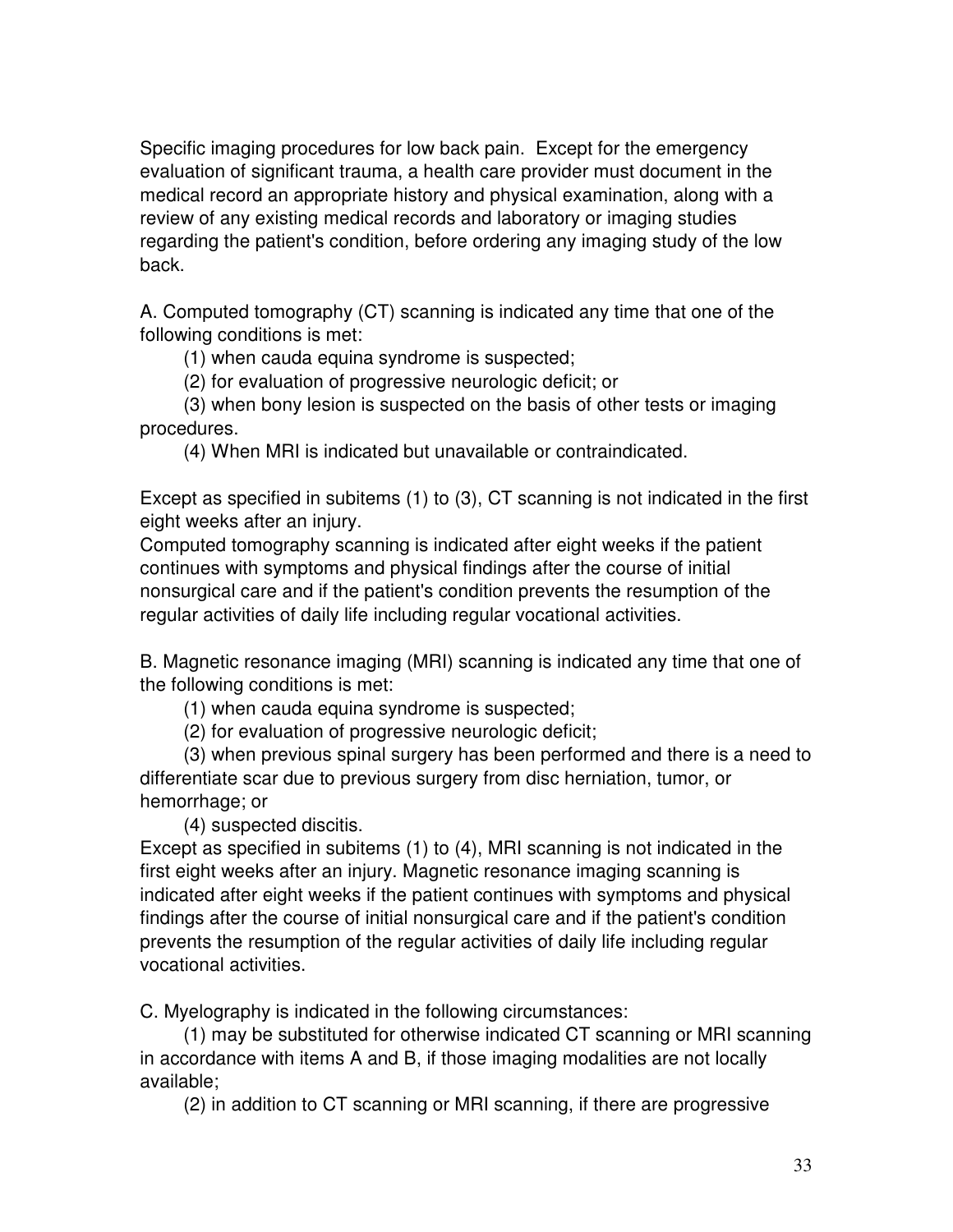Specific imaging procedures for low back pain. Except for the emergency evaluation of significant trauma, a health care provider must document in the medical record an appropriate history and physical examination, along with a review of any existing medical records and laboratory or imaging studies regarding the patient's condition, before ordering any imaging study of the low back.

A. Computed tomography (CT) scanning is indicated any time that one of the following conditions is met:

(1) when cauda equina syndrome is suspected;

(2) for evaluation of progressive neurologic deficit; or

 (3) when bony lesion is suspected on the basis of other tests or imaging procedures.

(4) When MRI is indicated but unavailable or contraindicated.

Except as specified in subitems (1) to (3), CT scanning is not indicated in the first eight weeks after an injury.

Computed tomography scanning is indicated after eight weeks if the patient continues with symptoms and physical findings after the course of initial nonsurgical care and if the patient's condition prevents the resumption of the regular activities of daily life including regular vocational activities.

B. Magnetic resonance imaging (MRI) scanning is indicated any time that one of the following conditions is met:

(1) when cauda equina syndrome is suspected;

(2) for evaluation of progressive neurologic deficit;

 (3) when previous spinal surgery has been performed and there is a need to differentiate scar due to previous surgery from disc herniation, tumor, or hemorrhage; or

(4) suspected discitis.

Except as specified in subitems (1) to (4), MRI scanning is not indicated in the first eight weeks after an injury. Magnetic resonance imaging scanning is indicated after eight weeks if the patient continues with symptoms and physical findings after the course of initial nonsurgical care and if the patient's condition prevents the resumption of the regular activities of daily life including regular vocational activities.

C. Myelography is indicated in the following circumstances:

 (1) may be substituted for otherwise indicated CT scanning or MRI scanning in accordance with items A and B, if those imaging modalities are not locally available;

(2) in addition to CT scanning or MRI scanning, if there are progressive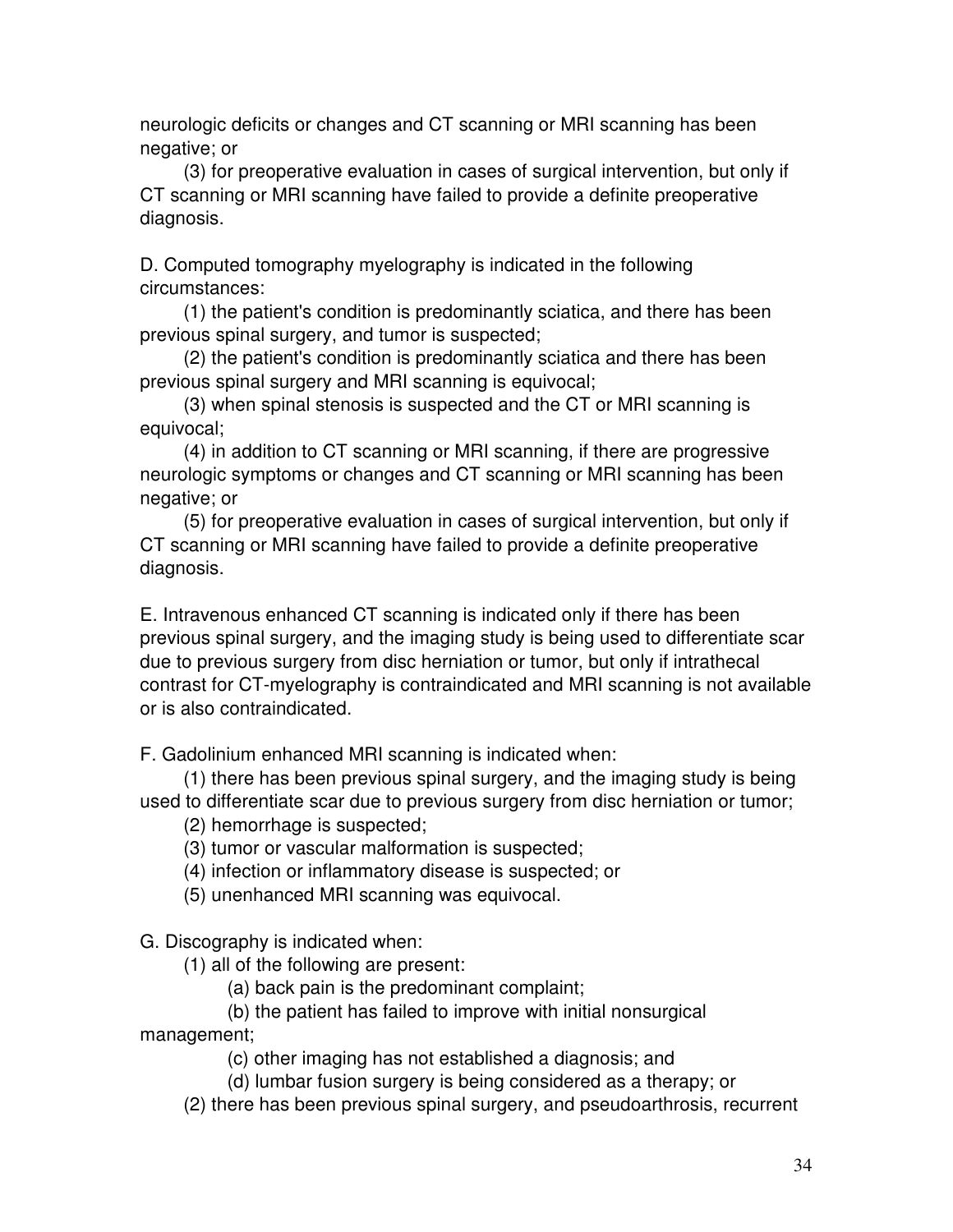neurologic deficits or changes and CT scanning or MRI scanning has been negative; or

 (3) for preoperative evaluation in cases of surgical intervention, but only if CT scanning or MRI scanning have failed to provide a definite preoperative diagnosis.

D. Computed tomography myelography is indicated in the following circumstances:

 (1) the patient's condition is predominantly sciatica, and there has been previous spinal surgery, and tumor is suspected;

 (2) the patient's condition is predominantly sciatica and there has been previous spinal surgery and MRI scanning is equivocal;

 (3) when spinal stenosis is suspected and the CT or MRI scanning is equivocal;

 (4) in addition to CT scanning or MRI scanning, if there are progressive neurologic symptoms or changes and CT scanning or MRI scanning has been negative; or

 (5) for preoperative evaluation in cases of surgical intervention, but only if CT scanning or MRI scanning have failed to provide a definite preoperative diagnosis.

E. Intravenous enhanced CT scanning is indicated only if there has been previous spinal surgery, and the imaging study is being used to differentiate scar due to previous surgery from disc herniation or tumor, but only if intrathecal contrast for CT-myelography is contraindicated and MRI scanning is not available or is also contraindicated.

F. Gadolinium enhanced MRI scanning is indicated when:

 (1) there has been previous spinal surgery, and the imaging study is being used to differentiate scar due to previous surgery from disc herniation or tumor;

(2) hemorrhage is suspected;

(3) tumor or vascular malformation is suspected;

(4) infection or inflammatory disease is suspected; or

(5) unenhanced MRI scanning was equivocal.

G. Discography is indicated when:

(1) all of the following are present:

(a) back pain is the predominant complaint;

#### (b) the patient has failed to improve with initial nonsurgical

management;

(c) other imaging has not established a diagnosis; and

(d) lumbar fusion surgery is being considered as a therapy; or

(2) there has been previous spinal surgery, and pseudoarthrosis, recurrent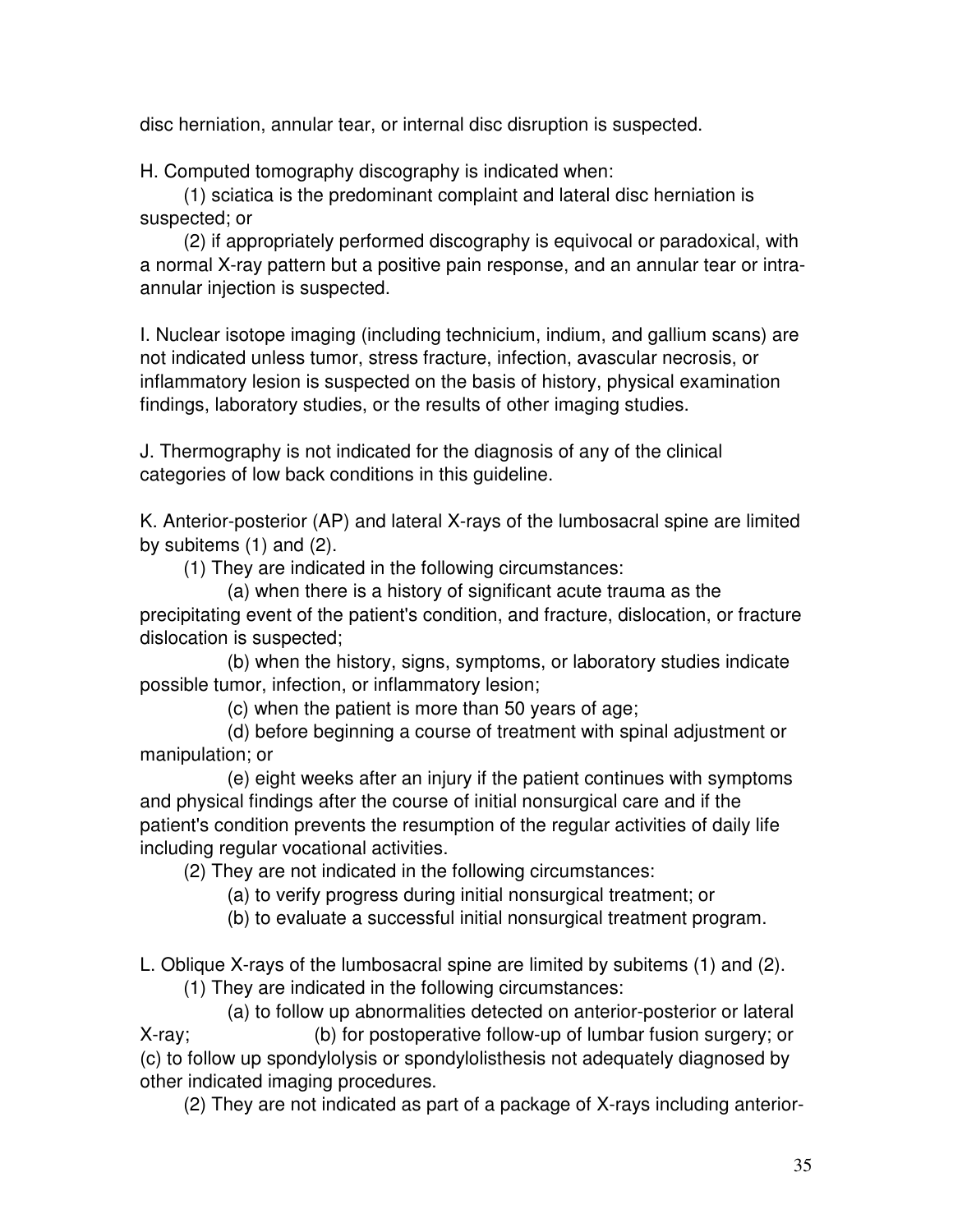disc herniation, annular tear, or internal disc disruption is suspected.

H. Computed tomography discography is indicated when:

 (1) sciatica is the predominant complaint and lateral disc herniation is suspected; or

 (2) if appropriately performed discography is equivocal or paradoxical, with a normal X-ray pattern but a positive pain response, and an annular tear or intraannular injection is suspected.

I. Nuclear isotope imaging (including technicium, indium, and gallium scans) are not indicated unless tumor, stress fracture, infection, avascular necrosis, or inflammatory lesion is suspected on the basis of history, physical examination findings, laboratory studies, or the results of other imaging studies.

J. Thermography is not indicated for the diagnosis of any of the clinical categories of low back conditions in this guideline.

K. Anterior-posterior (AP) and lateral X-rays of the lumbosacral spine are limited by subitems (1) and (2).

(1) They are indicated in the following circumstances:

 (a) when there is a history of significant acute trauma as the precipitating event of the patient's condition, and fracture, dislocation, or fracture dislocation is suspected;

 (b) when the history, signs, symptoms, or laboratory studies indicate possible tumor, infection, or inflammatory lesion;

(c) when the patient is more than 50 years of age;

 (d) before beginning a course of treatment with spinal adjustment or manipulation; or

 (e) eight weeks after an injury if the patient continues with symptoms and physical findings after the course of initial nonsurgical care and if the patient's condition prevents the resumption of the regular activities of daily life including regular vocational activities.

(2) They are not indicated in the following circumstances:

- (a) to verify progress during initial nonsurgical treatment; or
- (b) to evaluate a successful initial nonsurgical treatment program.

L. Oblique X-rays of the lumbosacral spine are limited by subitems (1) and (2).

(1) They are indicated in the following circumstances:

 (a) to follow up abnormalities detected on anterior-posterior or lateral X-ray; (b) for postoperative follow-up of lumbar fusion surgery; or (c) to follow up spondylolysis or spondylolisthesis not adequately diagnosed by other indicated imaging procedures.

(2) They are not indicated as part of a package of X-rays including anterior-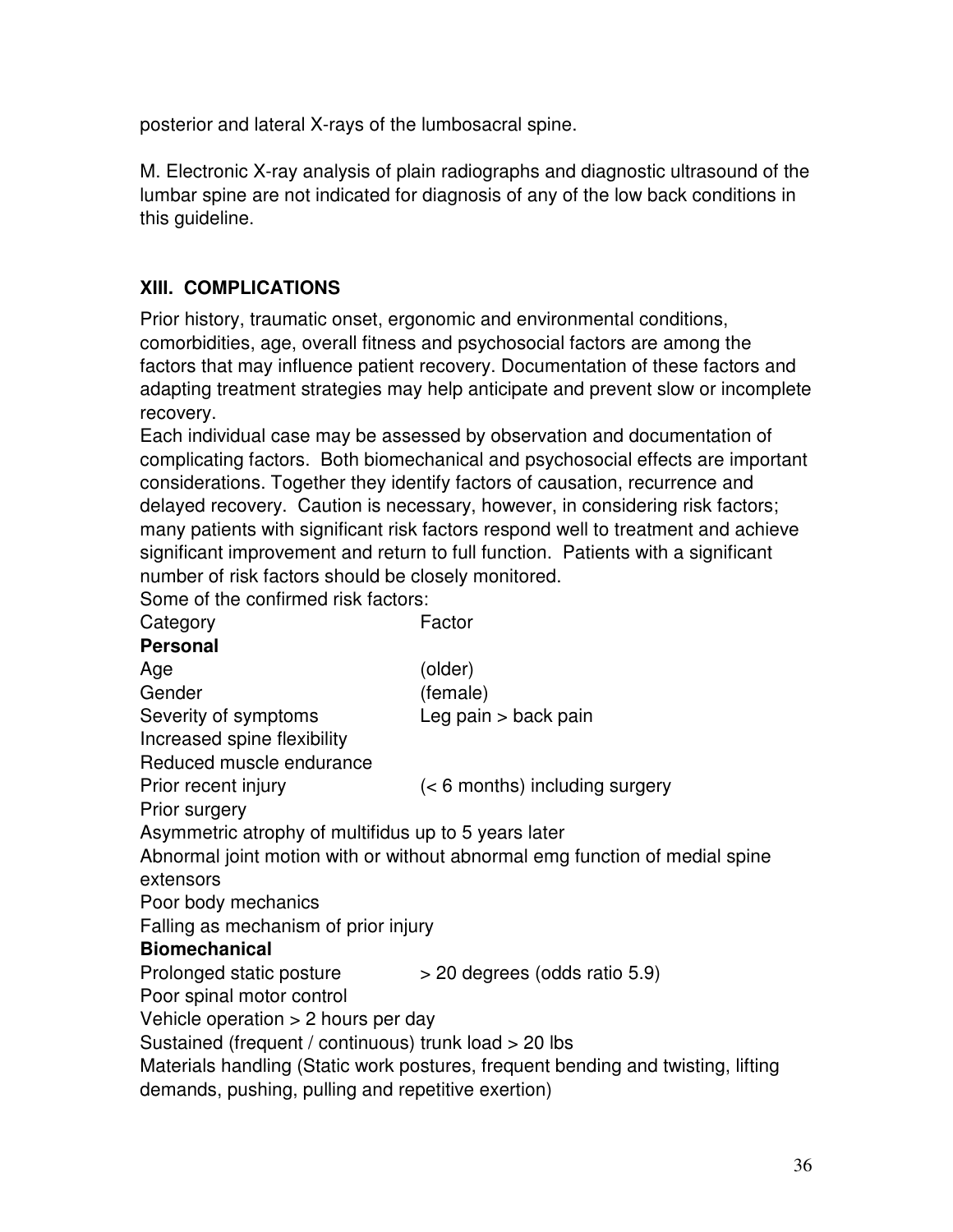posterior and lateral X-rays of the lumbosacral spine.

M. Electronic X-ray analysis of plain radiographs and diagnostic ultrasound of the lumbar spine are not indicated for diagnosis of any of the low back conditions in this guideline.

#### **XIII. COMPLICATIONS**

Prior history, traumatic onset, ergonomic and environmental conditions, comorbidities, age, overall fitness and psychosocial factors are among the factors that may influence patient recovery. Documentation of these factors and adapting treatment strategies may help anticipate and prevent slow or incomplete recovery.

Each individual case may be assessed by observation and documentation of complicating factors. Both biomechanical and psychosocial effects are important considerations. Together they identify factors of causation, recurrence and delayed recovery. Caution is necessary, however, in considering risk factors; many patients with significant risk factors respond well to treatment and achieve significant improvement and return to full function. Patients with a significant number of risk factors should be closely monitored.

Some of the confirmed risk factors:

Category **Factor Personal** Age (older) Gender (female) Severity of symptoms Leg pain > back pain Increased spine flexibility Reduced muscle endurance Prior recent injury (< 6 months) including surgery Prior surgery Asymmetric atrophy of multifidus up to 5 years later Abnormal joint motion with or without abnormal emg function of medial spine extensors Poor body mechanics Falling as mechanism of prior injury **Biomechanical**  Prolonged static posture > 20 degrees (odds ratio 5.9) Poor spinal motor control Vehicle operation  $> 2$  hours per day Sustained (frequent / continuous) trunk load > 20 lbs Materials handling (Static work postures, frequent bending and twisting, lifting demands, pushing, pulling and repetitive exertion)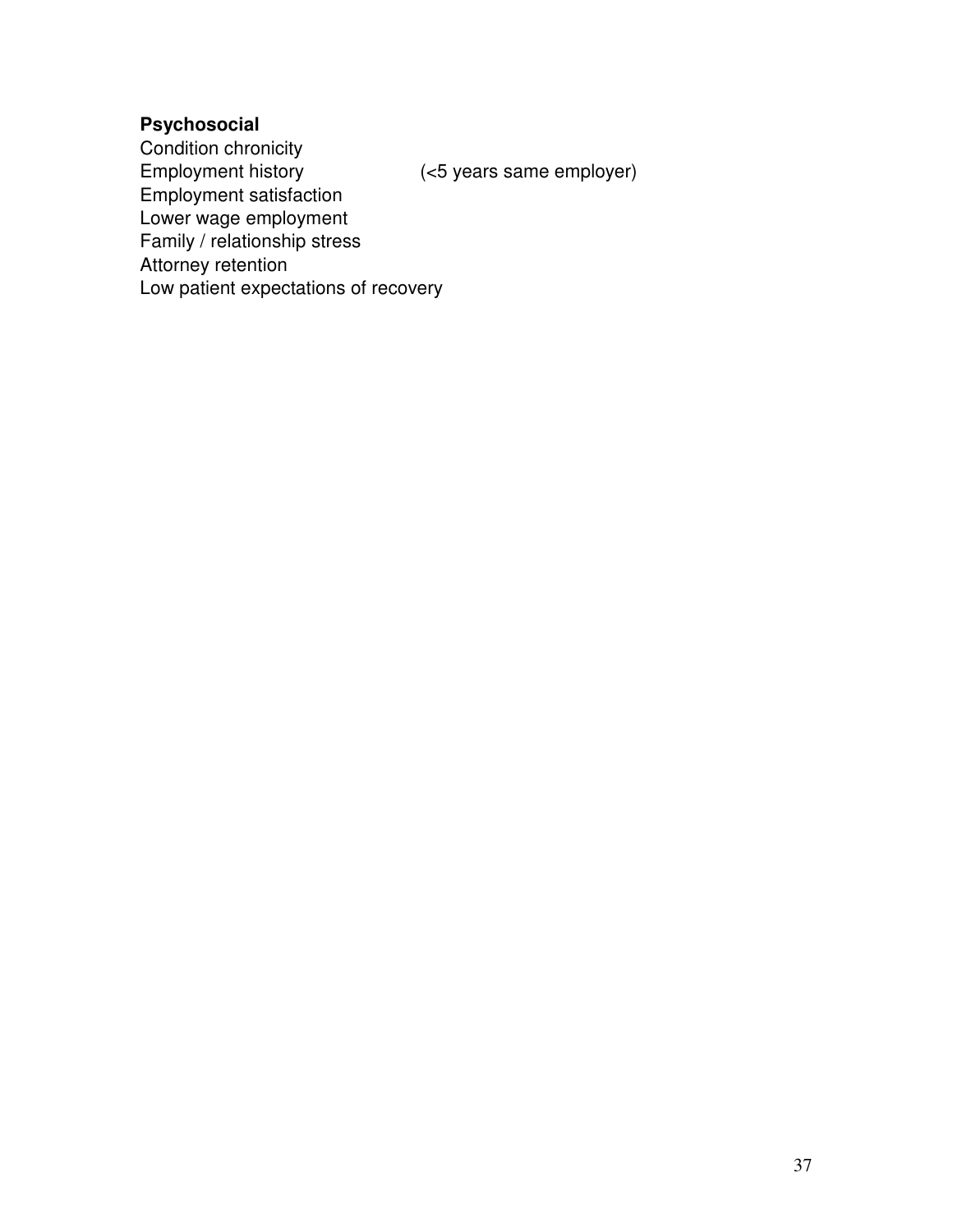#### **Psychosocial**

Condition chronicity<br>Employment history (<5 years same employer) Employment satisfaction Lower wage employment Family / relationship stress Attorney retention Low patient expectations of recovery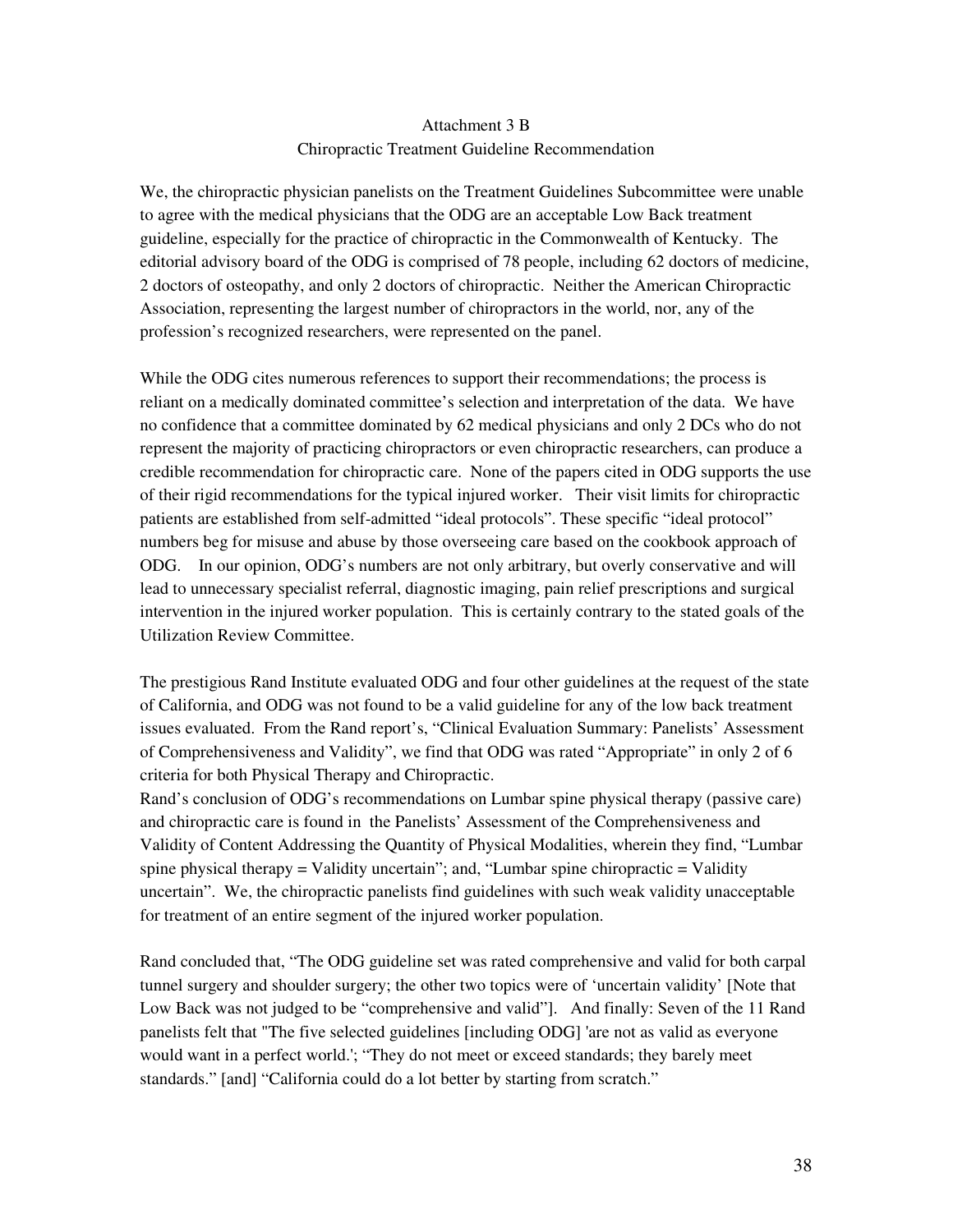#### Attachment 3 B Chiropractic Treatment Guideline Recommendation

We, the chiropractic physician panelists on the Treatment Guidelines Subcommittee were unable to agree with the medical physicians that the ODG are an acceptable Low Back treatment guideline, especially for the practice of chiropractic in the Commonwealth of Kentucky. The editorial advisory board of the ODG is comprised of 78 people, including 62 doctors of medicine, 2 doctors of osteopathy, and only 2 doctors of chiropractic. Neither the American Chiropractic Association, representing the largest number of chiropractors in the world, nor, any of the profession's recognized researchers, were represented on the panel.

While the ODG cites numerous references to support their recommendations; the process is reliant on a medically dominated committee's selection and interpretation of the data. We have no confidence that a committee dominated by 62 medical physicians and only 2 DCs who do not represent the majority of practicing chiropractors or even chiropractic researchers, can produce a credible recommendation for chiropractic care. None of the papers cited in ODG supports the use of their rigid recommendations for the typical injured worker. Their visit limits for chiropractic patients are established from self-admitted "ideal protocols". These specific "ideal protocol" numbers beg for misuse and abuse by those overseeing care based on the cookbook approach of ODG. In our opinion, ODG's numbers are not only arbitrary, but overly conservative and will lead to unnecessary specialist referral, diagnostic imaging, pain relief prescriptions and surgical intervention in the injured worker population. This is certainly contrary to the stated goals of the Utilization Review Committee.

The prestigious Rand Institute evaluated ODG and four other guidelines at the request of the state of California, and ODG was not found to be a valid guideline for any of the low back treatment issues evaluated. From the Rand report's, "Clinical Evaluation Summary: Panelists' Assessment of Comprehensiveness and Validity", we find that ODG was rated "Appropriate" in only 2 of 6 criteria for both Physical Therapy and Chiropractic.

Rand's conclusion of ODG's recommendations on Lumbar spine physical therapy (passive care) and chiropractic care is found in the Panelists' Assessment of the Comprehensiveness and Validity of Content Addressing the Quantity of Physical Modalities, wherein they find, "Lumbar spine physical therapy  $=$  Validity uncertain"; and, "Lumbar spine chiropractic  $=$  Validity uncertain". We, the chiropractic panelists find guidelines with such weak validity unacceptable for treatment of an entire segment of the injured worker population.

Rand concluded that, "The ODG guideline set was rated comprehensive and valid for both carpal tunnel surgery and shoulder surgery; the other two topics were of 'uncertain validity' [Note that Low Back was not judged to be "comprehensive and valid"]. And finally: Seven of the 11 Rand panelists felt that "The five selected guidelines [including ODG] 'are not as valid as everyone would want in a perfect world.'; "They do not meet or exceed standards; they barely meet standards." [and] "California could do a lot better by starting from scratch."